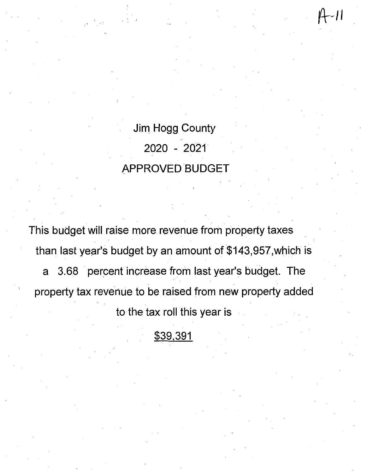Jim Hogg County 2020 - 2021" APPROVED BUDGET -11

This budget will raise more revenue from property taxes than last year's budget by an amount of \$143,957, which is a 3.68 percent increase from last year's budget. The property tax revenue to be raised from new property added to-the tax roll this year is

# \$39,391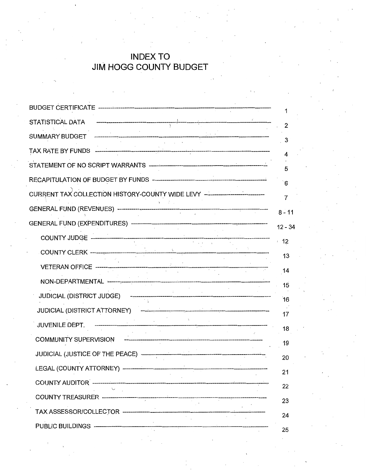# **INDEX TO JIM HOGG COUNTY BUDGET**

| CURRENT TAX COLLECTION HISTORY-COUNTY WIDE LEVY -------------------------------- |
|----------------------------------------------------------------------------------|
|                                                                                  |
|                                                                                  |
|                                                                                  |
|                                                                                  |
|                                                                                  |
|                                                                                  |
|                                                                                  |
|                                                                                  |
|                                                                                  |
|                                                                                  |
|                                                                                  |
| LEGAL (COUNTY ATTORNEY) ---------------                                          |
|                                                                                  |
|                                                                                  |
|                                                                                  |
| PUBLIC BUILDINGS -----------------------------                                   |
|                                                                                  |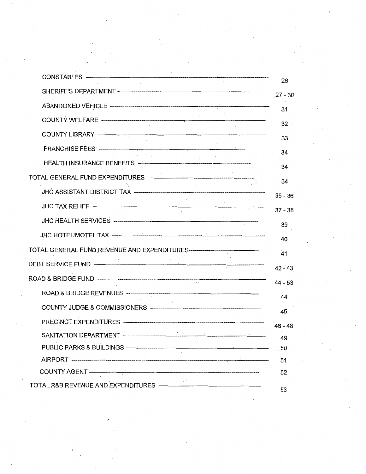| $27 - 30$                                                |
|----------------------------------------------------------|
|                                                          |
|                                                          |
|                                                          |
|                                                          |
|                                                          |
|                                                          |
| $35 - 36$                                                |
| $37 - 38$                                                |
|                                                          |
|                                                          |
|                                                          |
| $42 - 43$                                                |
| $44 - 53$                                                |
|                                                          |
|                                                          |
|                                                          |
| $46 - 48$<br>- 49                                        |
| PUBLIC PARKS & BUILDINGS ------------------------------- |
|                                                          |
|                                                          |
|                                                          |

 $\label{eq:2.1} \frac{1}{2} \sum_{i=1}^n \frac{1}{2} \sum_{j=1}^n \frac{1}{2} \sum_{j=1}^n \frac{1}{2} \sum_{j=1}^n \frac{1}{2} \sum_{j=1}^n \frac{1}{2} \sum_{j=1}^n \frac{1}{2} \sum_{j=1}^n \frac{1}{2} \sum_{j=1}^n \frac{1}{2} \sum_{j=1}^n \frac{1}{2} \sum_{j=1}^n \frac{1}{2} \sum_{j=1}^n \frac{1}{2} \sum_{j=1}^n \frac{1}{2} \sum_{j=1}^n \frac{$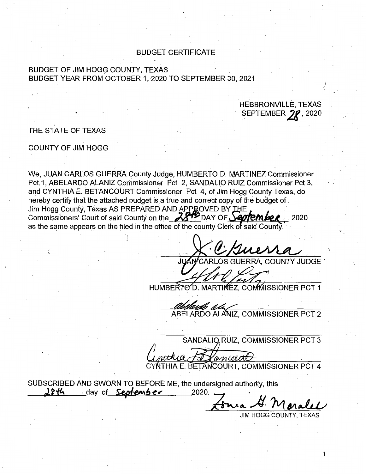## **BUDGET CERTIFICATE**

# BUDGET OF JIM HOGG COUNTY, TEXAS BUDGET YEAR FROM OCTOBER 1, 2020 TO SEPTEMBER 30, 2021

#### **HEBBRONVILLE, TEXAS** SEPTEMBER 70  $,2020$

# THE STATE OF TEXAS

### COUNTY OF JIM HOGG

We, JUAN CARLOS GUERRA County Judge, HUMBERTO D. MARTINEZ Commissioner Pct.1, ABELARDO ALANIZ Commissioner Pct 2, SANDALIO RUIZ Commissioner Pct 3, and CYNTHIA E. BETANCOURT Commissioner Pct 4, of Jim Hogg County Texas, do hereby certify that the attached budget is a true and correct copy of the budget of. Jim Hogg County, Texas AS PREPARED AND APPROVED BY THE Commissioners' Court of said County on the 28th DAY OF September 2020 as the same appears on the filed in the office of the county Clerk of said County.

**COUNTY JUDGE** 

HUMBERTO D. MARTIMEZ, COMMISSIONER PCT 1

ABELARDO ALANIZ, COMMISSIONER PCT 2

SANDALIO RUIZ, COMMISSIONER PCT 3 A E. BETANCOURT, COMMISSIONER PCT 4

SUBSCRIBED AND SWORN TO BEFORE ME, the undersigned authority, this ጋዮዚ day of **Septenber** 2020.

**JIM HOGG COUNTY, TEXAS**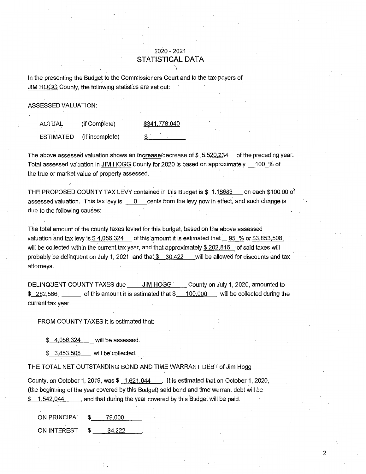# 2020-2021 . **STATISTICAL DATA**

In the presenting the Budget to the Commissioners Court and to the tax-payers of JIM HOGG County, the following statistics are set out:

ASSESSED VALUATION:

ACTUAL (if Complete) ESTIMATED (if incomplete) \$341,778,040 \$

The above assessed valuation shows an **increase**/decrease of  $$ 5,520,234$  of the preceding year. Total assessed valuation in JIM HOGG County for 2020 is based on approximately 100 % of the true or market value of property assessed.

THE PROPOSED COUNTY TAX LEVY contained in this Budget is \$ 1.18683 on each \$100.00 of assessed valuation. This tax levy is  $\qquad 0 \qquad$  cents from the levy now in effect, and such change is due to the following causes:

The total amount of the county taxes levied for this budget, based on the above assessed valuation and tax levy is \$4,056,324 of this amount it is estimated that 95 % or \$3,853,508 will be collected within the current tax year, and that approximately  $$202,816$  of said taxes will probably be delinquent on July 1, 2021, and that  $$30,422$  will be allowed for discounts and tax attorneys.

DELINQUENT COUNTY TAXES due \_\_\_\_\_ JIM HOGG \_\_\_\_ County on July 1, 2020, amounted to  $$ 282,566$  of this amount it is estimated that  $$ 100,000$  will be collected during the current tax year.

FROM COUNTY TAXES it is estimated that:

\$ 4,056,324 will be assessed.

\$ 3,853,508 will be' collected.

THE TOTAL NET OUTSTANDING BOND AND TIME WARRANT DEBT of Jim Hogg

County, on October 1, 2019, was\$ 1,621,044 . It is estimated that on October 1, 2020, (the beginning of the year covered by this Budget) said bond and time warrant debt will be  $$ 1,542,044$ , and that during the year covered by this Budget will be paid.

ON PRINCIPAL \$ 79.000

ON INTEREST \$ 34.322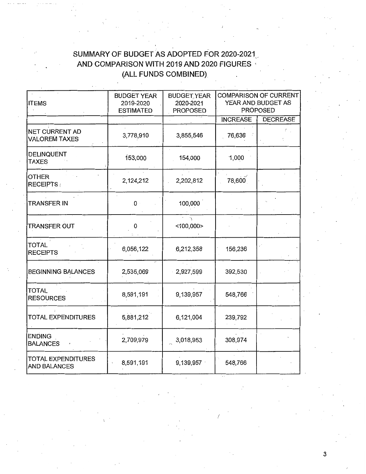# SUMMARY OF BUDGET AS ADOPTED FOR 2020-2021 AND COMPARISON WITH 2019 AND 2020 FIGURES (ALL FUNDS COMBINED)

| <b>ITEMS</b>                              | <b>BUDGET YEAR</b><br>2019-2020<br><b>ESTIMATED</b> | <b>BUDGET YEAR</b><br>2020-2021<br><b>PROPOSED</b> |                 | <b>COMPARISON OF CURRENT</b><br>YEAR AND BUDGET AS<br><b>PROPOSED</b> |
|-------------------------------------------|-----------------------------------------------------|----------------------------------------------------|-----------------|-----------------------------------------------------------------------|
|                                           |                                                     |                                                    | <b>INCREASE</b> | <b>DECREASE</b>                                                       |
| NET CURRENT AD<br><b>VALOREM TAXES</b>    | 3,778,910                                           | 3,855,546                                          | 76,636          |                                                                       |
| DELINQUENT<br><b>TAXES</b>                | 153,000                                             | 154,000                                            | 1,000           |                                                                       |
| OTHER<br><b>RECEIPTS:</b>                 | 2,124,212                                           | 2,202,812                                          | 78,600          |                                                                       |
| TRANSFER IN                               | $\mathbf{0}$                                        | 100,000                                            |                 |                                                                       |
| <b>TRANSFER OUT</b>                       | 0                                                   | $<$ 100,000>                                       |                 |                                                                       |
| <b>TOTAL</b><br><b>RECEIPTS</b>           | 6,056,122                                           | 6,212,358                                          | 156,236         |                                                                       |
| <b>BEGINNING BALANCES</b>                 | 2,535,069                                           | 2,927,599                                          | 392,530         |                                                                       |
| <b>TOTAL</b><br><b>RESOURCES</b>          | 8,591,191                                           | 9,139,957                                          | 548,766         |                                                                       |
| <b>TOTAL EXPENDITURES</b>                 | 5,881,212                                           | 6,121,004                                          | 239,792         |                                                                       |
| <b>ENDING</b><br><b>BALANCES</b>          | 2,709,979                                           | 3,018,953                                          | 308,974         |                                                                       |
| <b>TOTAL EXPENDITURES</b><br>AND BALANCES | 8,591,191                                           | 9,139,957                                          | 548,766         |                                                                       |

*/*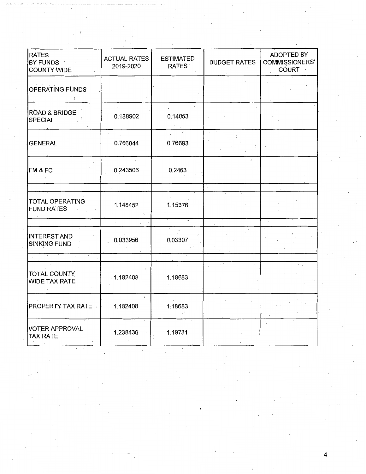| <b>RATES</b><br>BY FUNDS<br>COUNTY WIDE                | <b>ACTUAL RATES</b><br>2019-2020 | <b>ESTIMATED</b><br><b>RATES</b> | <b>BUDGET RATES</b> | ADOPTED BY<br>COMMISSIONERS'<br>COURT ·<br>$\mathbf{r}$ |
|--------------------------------------------------------|----------------------------------|----------------------------------|---------------------|---------------------------------------------------------|
| <b>OPERATING FUNDS</b><br>$\left\langle \right\rangle$ |                                  |                                  |                     |                                                         |
| <b>ROAD &amp; BRIDGE</b><br>SPECIAL                    | 0.138902                         | 0.14053                          |                     |                                                         |
| <b>GENERAL</b>                                         | 0.766044                         | 0.76693                          |                     |                                                         |
| FM & FC                                                | 0.243506                         | 0.2463                           |                     |                                                         |
| <b>TOTAL OPERATING</b><br><b>FUND RATES</b>            | 1.148452                         | 1.15376                          |                     |                                                         |
| <b>INTEREST AND</b><br><b>SINKING FUND</b>             | 0.033956                         | 0.03307                          |                     |                                                         |
| TOTAL COUNTY<br><b>WIDE TAX RATE</b>                   | 1.182408                         | 1.18683                          |                     |                                                         |
| <b>PROPERTY TAX RATE</b>                               | t.<br>1.182408                   | 1.18683                          |                     |                                                         |
| VOTER APPROVAL<br><b>TAX RATE</b>                      | 1.238439                         | 1.19731                          |                     | $\gamma$                                                |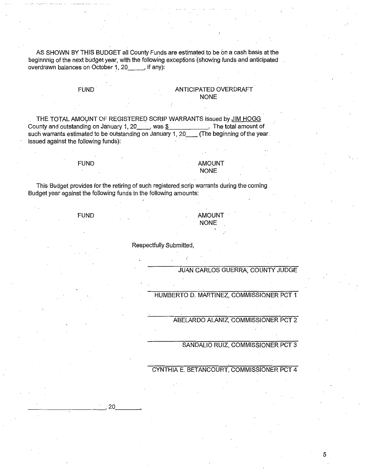AS SHOWN BY THIS BUDGET all County Funds are estimated to be on a cash basis at the beginnnig of the next budget year, with the following exceptions (showing funds and anticipated overdrawn balances on October 1, 20 Fig. if any):

### FUND. ANTICIPATED OVERDRAFT NONE

THE TOTAL AMOUNT OF REGISTERED SCRIP WARRANTS issued by JIM HOGG<br>unty and outstanding on January 1, 20 was \$ The total amount of County and outstanding on January 1, 20  $\ldots$ , was  $\frac{1}{2}$   $\ldots$  The total amount of such warrants estimated to be outstanding on January 1, 20 (The beginning of the year such warrants estimated to be outstanding on January 1, 20 issued against the following funds}:

#### FUND AMOUNT NONE

This Budget provides for the retiring of such registered scrip warrants during the coming Budget year against the following funds in the following amounts:

FUND RESERVE TO A RESERVE THE RESERVE TO A RESERVE THE RESERVE TO A RESERVE THE RESERVE TO A RESERVE THE RESERVE TO A RESERVE THE RESERVE THAT A RESERVE THE RESERVE THAT A RESERVE THAT A RESERVE THAT A RESERVE THAT A RESER NONE

Respectfully Submitted,

### JUAN CARLOS GUERRA; COUNTY JUDGE

HUMBERTO D. MARTINEZ, COMMISSIONER PCT 1

ABELARDO ALANIZ, COMMISSIONER PCT 2

SANDALIO RUIZ, COMMISSIONER PCT 3

## CYNTHIA E. BETANCOURT, COMMISSIONER PCT 4

 $\frac{1}{\sqrt{2}}$ , 20  $\frac{1}{\sqrt{2}}$ , 20  $\frac{1}{\sqrt{2}}$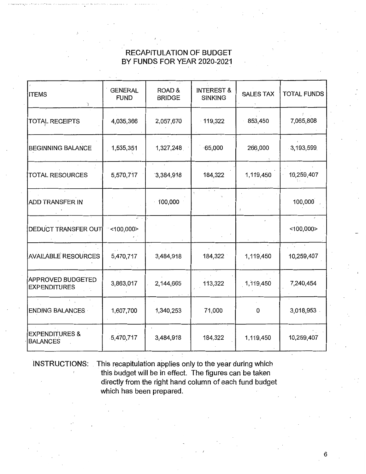# RECAPITULATION OF BUDGET BY FUNDS FOR YEAR 2020-2021

| <b>ITEMS</b>                                 | <b>GENERAL</b><br><b>FUND</b> | ROAD&<br><b>BRIDGE</b> | <b>INTEREST &amp;</b><br><b>SINKING</b> | <b>SALES TAX</b> | <b>TOTAL FUNDS</b> |
|----------------------------------------------|-------------------------------|------------------------|-----------------------------------------|------------------|--------------------|
| TOTAL RECEIPTS                               | 4,035,366                     | 2,057,670              | $-119,322$                              | 853,450          | 7,065,808          |
| <b>BEGINNING BALANCE</b>                     | 1,535,351                     | 1,327,248              | $-65,000$                               | 266,000          | 3,193,599          |
| <b>TOTAL RESOURCES</b>                       | 5,570,717                     | 3,384,918              | 184,322                                 | 1,119,450        | 10,259,407         |
| ADD TRANSFER IN                              |                               | 100,000                |                                         |                  | 100,000            |
| DEDUCT TRANSFER OUT                          | $-$ <100,000>                 |                        |                                         |                  | $<$ 100,000 $>$    |
| <b>AVAILABLE RESOURCES</b>                   | 5,470,717                     | 3,484,918              | 184,322                                 | 1,119,450        | 10,259,407         |
| APPROVED BUDGETED<br><b>EXPENDITURES</b>     | 3,863,017                     | 2,144,665              | 113,322                                 | 1,119,450        | 7,240,454          |
| <b>ENDING BALANCES</b>                       | 1,607,700                     | 1,340,253              | 71,000                                  | 0                | 3,018,953          |
| <b>EXPENDITURES &amp;</b><br><b>BALANCES</b> | $-5,470,717$                  | 3,484,918              | 184,322                                 | 1,119,450        | 10,259,407         |

INSTRUCTIONS: This recapitulation applies only to the year during which this budget will be in effect. The figures can be taken directly from the right hand column of each fund budget which has been prepared.

. .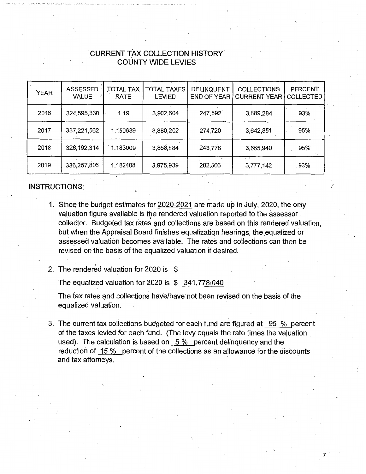# . CURRENT TAx COLLECTION HISTORY COUNTY WIDE LEVIES

| <b>YEAR</b> | <b>ASSESSED</b><br><b>VALUE</b> | <b>TOTAL TAX</b><br>RATE | <b>TOTAL TAXES</b><br><b>LEVIED</b> | DELINQUENT<br><b>END OF YEAR</b> | <b>COLLECTIONS</b><br><b>CURRENT YEAR</b> | <b>PERCENT</b><br><b>COLLECTED</b> |
|-------------|---------------------------------|--------------------------|-------------------------------------|----------------------------------|-------------------------------------------|------------------------------------|
| 2016        | 324,595,330                     | 1.19                     | 3,902,604                           | 247,592                          | 3,889,284                                 | 93%                                |
| 2017        | 337,221,562                     | 1.150639                 | 3,880,202                           | 274,720                          | 3,642,851                                 | 95%                                |
| 2018        | 326, 192, 314                   | 1.183009                 | 3,858,884                           | 243,778                          | 3,665,940                                 | 95%                                |
| 2019        | 336,257,806                     | 1.182408                 | 3,975,939                           | 282,566                          | 3,777,142                                 | 93%                                |

# INSTRUCTIONS:

1. Since the budget estimates for 2020-2021 are made up in July, 2020, the only valuation figure available is the rendered valuation reported to the assessor . collector. Budgeted tax rates and collections are based on this rendered valuation, but when the Appraisal Board finishes equalization hearings, the equalized or assessed valuation becomes available. The rates and collections can then be revised on the basis of the equalized valuation if desired.

/

7

2. The rendered valuation for 2020 is \$

The equalized valuation for 2020 is  $$341,778,040$ 

The tax rates and collections have/have not been revised on the basis of the equalized valuation.

3. The current tax collections budgeted for each fund are figured at 95 % percent of the taxes levied for each fund. (The levy equals the rate times the valuation used). The calculation is based on 5 % percent delinquency and the reduction of  $15\%$  percent of the collections as an allowance for the discounts and tax attorneys.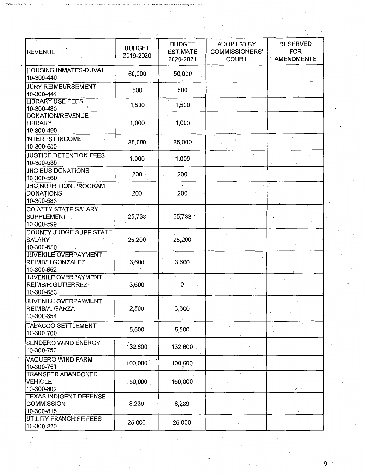| <b>REVENUE</b>                                                   | <b>BUDGET</b><br>2019-2020 | <b>BUDGET</b><br><b>ESTIMATE</b><br>2020-2021 | <b>ADOPTED BY</b><br><b>COMMISSIONERS'</b><br><b>COURT</b> | <b>RESERVED</b><br><b>FOR</b><br><b>AMENDMENTS</b> |
|------------------------------------------------------------------|----------------------------|-----------------------------------------------|------------------------------------------------------------|----------------------------------------------------|
| HOUSING INMATES-DUVAL<br>10-300-440                              | 60,000                     | 50,000                                        |                                                            |                                                    |
| <b>JURY REIMBURSEMENT</b><br>10-300-441                          | 500                        | 500                                           |                                                            |                                                    |
| <b>LIBRARY USE FEES</b><br>10-300-480                            | 1,500                      | 1,500                                         |                                                            |                                                    |
| <b>DONATION/REVENUE</b><br><b>LIBRARY</b><br>10-300-490          | 1,000                      | 1,000                                         |                                                            |                                                    |
| <b>INTEREST INCOME</b><br>10-300-500                             | 35,000                     | 35,000                                        |                                                            |                                                    |
| JUSTICE DETENTION FEES<br>10-300-535                             | 1,000                      | 1,000                                         |                                                            |                                                    |
| <b>JHC BUS DONATIONS</b><br>10-300-560                           | 200                        | 200                                           |                                                            |                                                    |
| <b>JHC NUTRITION PROGRAM</b><br><b>DONATIONS</b><br>10-300-583   | 200                        | 200                                           |                                                            |                                                    |
| CO ATTY STATE SALARY<br><b>SUPPLEMENT</b><br>10-300-599          | 25,733                     | 25,733                                        |                                                            |                                                    |
| COUNTY JUDGE SUPP STATE<br><b>SALARY</b><br>10-300-650           | 25,200                     | 25,200                                        |                                                            |                                                    |
| JUVENILE OVERPAYMENT<br>REIMB/H.GONZALEZ<br>10-300-652           | 3,600                      | 3,600                                         |                                                            |                                                    |
| <b>JUVENILE OVERPAYMENT</b><br>REIMB/R.GUTIERREZ-<br>10-300-653  | 3,600                      | 0                                             |                                                            |                                                    |
| JUVENILE OVERPAYMENT<br>REIMB/A. GARZA<br>10-300-654             | 2,500                      | 3,600                                         |                                                            |                                                    |
| <b>TABACCO SETTLEMENT</b><br>10-300-700                          | 5,500                      | 5,500                                         |                                                            |                                                    |
| <b>SENDERO WIND ENERGY</b><br>10-300-750                         | 132,600                    | 132,600                                       |                                                            |                                                    |
| <b>VAQUERO WIND FARM</b><br>10-300-751                           | 100,000                    | 100,000                                       |                                                            |                                                    |
| <b>TRANSFER ABANDONED</b><br>VEHICLE .<br>10-300-802             | 150,000                    | 150,000                                       |                                                            |                                                    |
| <b>TEXAS INDIGENT DEFENSE</b><br><b>COMMISSION</b><br>10-300-815 | 8,239.                     | 8,239                                         |                                                            |                                                    |
| UTILITY FRANCHISE FEES<br>10-300-820                             | 25,000                     | 25,000                                        |                                                            |                                                    |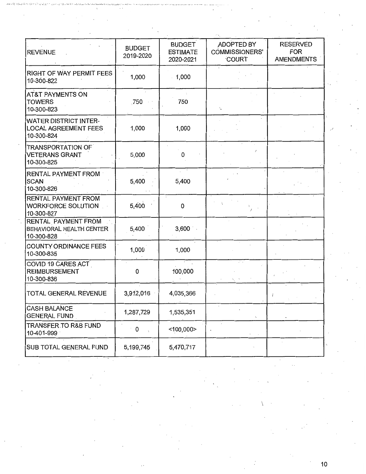| <b>REVENUE</b>                                                            | <b>BUDGET</b><br>2019-2020       | <b>BUDGET</b><br><b>ESTIMATE</b><br>2020-2021 | ADOPTED BY<br><b>COMMISSIONERS'</b><br>COURT | <b>RESERVED</b><br><b>FOR</b><br><b>AMENDMENTS</b> |
|---------------------------------------------------------------------------|----------------------------------|-----------------------------------------------|----------------------------------------------|----------------------------------------------------|
| <b>RIGHT OF WAY PERMIT FEES</b><br>10-300-822                             | 1,000                            | 1,000                                         |                                              |                                                    |
| <b>AT&amp;T PAYMENTS ON</b><br><b>TOWERS</b><br>10-300-823                | .750                             | 750                                           | t.                                           |                                                    |
| <b>WATER DISTRICT INTER-</b><br><b>LOCAL AGREEMENT FEES</b><br>10-300-824 | 1,000                            | 1,000                                         |                                              |                                                    |
| <b>TRANSPORTATION OF</b><br><b>VETERANS GRANT</b><br>10-300-825           | 5,000                            | 0                                             |                                              |                                                    |
| RENTAL PAYMENT FROM<br><b>SCAN</b><br>10-300-826                          | 5,400                            | $\sim$ $^{-1}$<br>5,400                       |                                              |                                                    |
| RENTAL PAYMENT FROM<br><b>WORKFORCE SOLUTION</b><br>10-300-827            | 5,400                            | 0                                             |                                              |                                                    |
| RENTAL PAYMENT FROM<br>BEHAVIORAL HEALTH CENTER<br>10-300-828             | 5,400                            | 3,600                                         |                                              |                                                    |
| <b>COUNTY ORDINANCE FEES</b><br>10-300-835                                | 1,000                            | 1,000                                         |                                              |                                                    |
| COVID 19 CARES ACT<br><b>REIMBURSEMENT</b><br>10-300-836                  | 0                                | 100,000                                       |                                              |                                                    |
| TOTAL GENERAL REVENUE                                                     | 3,912,016                        | 4,035,366                                     |                                              |                                                    |
| <b>CASH BALANCE</b><br><b>GENERAL FUND</b>                                | 1,287,729                        | 1,535,351                                     | $\tilde{\phantom{a}}$                        |                                                    |
| TRANSFER TO R&B FUND<br>10-401-999                                        | 0<br>$\mathcal{L}_{\mathcal{A}}$ | $<$ 100,000 $>$                               |                                              |                                                    |
| SUB TOTAL GENERAL FUND                                                    | 5,199,745                        | 5,470,717                                     |                                              |                                                    |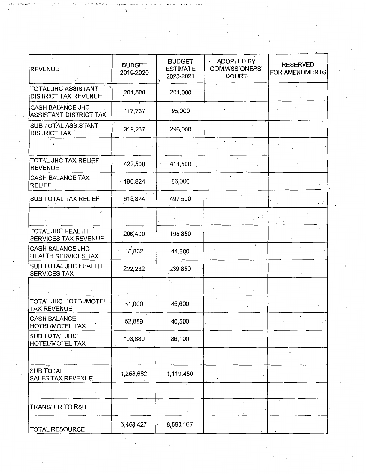| <b>REVENUE</b>                                     | <b>BUDGET</b><br>2019-2020 | <b>BUDGET</b><br><b>ESTIMATE</b><br>2020-2021 | <b>ADOPTED BY</b><br><b>COMMISSIONERS'</b><br><b>COURT-</b> | <b>RESERVED</b><br>FOR AMENDMENTS |
|----------------------------------------------------|----------------------------|-----------------------------------------------|-------------------------------------------------------------|-----------------------------------|
| TOTAL JHC ASSISTANT<br><b>DISTRICT TAX REVENUE</b> | 201,500                    | 201,000                                       |                                                             |                                   |
| <b>CASH BALANCE JHC</b><br>ASSISTANT DISTRICT TAX  | 117,737                    | 95,000                                        |                                                             |                                   |
| <b>SUB TOTAL ASSISTANT</b><br><b>DISTRICT TAX</b>  | 319,237                    | 296,000                                       |                                                             |                                   |
|                                                    |                            |                                               |                                                             |                                   |
| TOTAL JHC TAX RELIEF<br><b>REVENUE</b>             | 422,500                    | 411,500                                       |                                                             |                                   |
| <b>CASH BALANCE TAX</b><br><b>RELIEF</b>           | $-190,824$                 | 86,000                                        |                                                             |                                   |
| <b>SUB TOTAL TAX RELIEF</b>                        | 613,324                    | 497,500                                       |                                                             |                                   |
|                                                    |                            |                                               |                                                             |                                   |
| TOTAL JHC HEALTH<br>SERVICES TAX REVENUE           | 206,400                    | 195,350                                       |                                                             |                                   |
| CASH BALANCE JHC<br><b>HEALTH SERVICES TAX</b>     | 15,832                     | 44,500                                        |                                                             |                                   |
| SUB TOTAL JHC HEALTH<br><b>SERVICES TAX</b>        | 222,232                    | 239,850                                       |                                                             |                                   |
|                                                    |                            |                                               |                                                             |                                   |
| TOTAL JHC HOTEL/MOTEL<br><b>TAX REVENUE</b>        | 51,000                     | 45,600                                        |                                                             |                                   |
| <b>CASH BALANCE</b><br><b>HOTEL/MOTEL TAX</b>      | 52,889                     | 40,500                                        |                                                             |                                   |
| SUB TOTAL JHC<br>HOTEL/MOTEL TAX                   | 103,889                    | 86,100                                        |                                                             | $t\,$ :                           |
|                                                    |                            |                                               |                                                             | ÷,                                |
| SUB TOTAL.<br>SALES TAX REVENUE                    | 1,258,682                  | 1,119,450                                     | ЧĻ                                                          |                                   |
|                                                    |                            |                                               |                                                             |                                   |
| <b>TRANSFER TO R&amp;B</b>                         |                            |                                               |                                                             |                                   |
| <b>TOTAL RESOURCE</b>                              | 6,458,427                  | 6,590,167                                     |                                                             |                                   |

 $\frac{1}{2}$ 

 $\frac{1}{2}$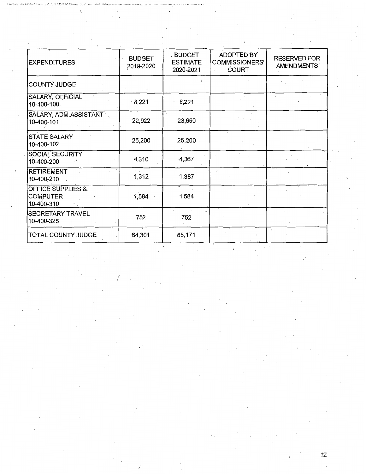| <b>EXPENDITURES</b>                                           | <b>BUDGET</b><br>2019-2020 | <b>BUDGET</b><br><b>ESTIMATE</b><br>2020-2021 | ADOPTED BY<br><b>COMMISSIONERS'</b><br><b>COURT</b> | <b>RESERVED FOR</b><br>AMENDMENTS |
|---------------------------------------------------------------|----------------------------|-----------------------------------------------|-----------------------------------------------------|-----------------------------------|
| COUNTY JUDGE                                                  |                            |                                               |                                                     |                                   |
| SALARY, OFFICIAL<br>10-400-100                                | 8,221                      | 8,221                                         |                                                     |                                   |
| SALARY, ADM.ASSISTANT<br>10-400-101                           | 22,922                     | 23,660                                        |                                                     |                                   |
| <b>STATE SALARY</b><br>10-400-102                             | 25,200                     | 25,200                                        |                                                     |                                   |
| SOCIAL SECURITY<br>10-400-200                                 | 4,310                      | $-4,367$                                      |                                                     |                                   |
| <b>RETIREMENT</b><br>10-400-210                               | 1,312                      | 1,387                                         | ÷.                                                  |                                   |
| <b>OFFICE SUPPLIES &amp;</b><br><b>COMPUTER</b><br>10-400-310 | 1,584                      | 1,584                                         |                                                     |                                   |
| <b>SECRETARY TRAVEL</b><br>10-400-325                         | 752                        | 752                                           |                                                     |                                   |
| TOTAL COUNTY JUDGE®                                           | 64,301                     | 65,171                                        |                                                     |                                   |

(

)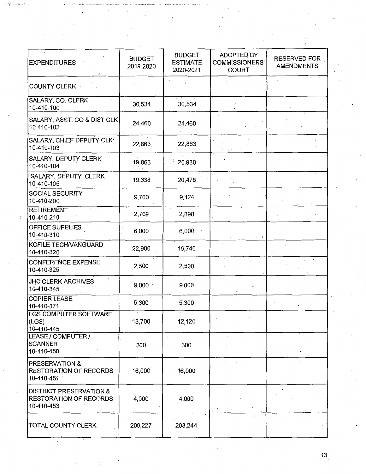| <b>EXPENDITURES</b>                                                               | <b>BUDGET</b><br>2019-2020 | <b>BUDGET</b><br><b>ESTIMATE</b><br>2020-2021 | ADOPTED BY<br><b>COMMISSIONERS'</b><br><b>COURT</b> | <b>RESERVED FOR</b><br><b>AMENDMENTS</b> |
|-----------------------------------------------------------------------------------|----------------------------|-----------------------------------------------|-----------------------------------------------------|------------------------------------------|
| <b>COUNTY CLERK</b>                                                               |                            |                                               |                                                     |                                          |
| <b>SALARY, CO. CLERK</b><br>10-410-100                                            | 30,534                     | 30,534                                        |                                                     |                                          |
| SALARY, ASST. CO & DIST CLK<br>10-410-102                                         | 24,460                     | 24,460                                        |                                                     |                                          |
| SALARY, CHIEF DEPUTY CLK<br>10-410-103                                            | 22,863                     | 22,863                                        |                                                     |                                          |
| SALARY, DEPUTY CLERK<br>10-410-104                                                | 19,863                     | 20,930                                        |                                                     |                                          |
| SALARY, DEPUTY CLERK<br>10-410-105                                                | 19,338                     | 20,475                                        |                                                     |                                          |
| SOCIAL SECURITY<br>10-410-200                                                     | 9,700                      | 9,124                                         |                                                     |                                          |
| <b>RETIREMENT</b><br>10-410-210                                                   | 2,769                      | 2,898                                         |                                                     |                                          |
| <b>OFFICE SUPPLIES</b><br>10-410-310                                              | 6,000                      | 6,000                                         |                                                     |                                          |
| KOFILE TECH/VANGUARD<br>10-410-320                                                | 22,900                     | 16,740                                        | $\sim$                                              |                                          |
| <b>CONFERENCE EXPENSE</b><br>10-410-325                                           | 2,500                      | 2,500                                         |                                                     |                                          |
| <b>JHC CLERK ARCHIVES</b><br>10-410-345                                           | 9,000                      | 9,000                                         |                                                     |                                          |
| <b>COPIER LEASE</b><br>10-410-371                                                 | 5,300                      | 5,300                                         |                                                     |                                          |
| LGS COMPUTER SOFTWARE<br>(LGS)<br>10-410-445                                      | 13,700                     | 12,120                                        |                                                     |                                          |
| LEASE / COMPUTER /<br><b>SCANNER</b><br>10-410-450                                | 300                        | 300                                           |                                                     |                                          |
| <b>PRESERVATION &amp;</b><br><b>RESTORATION OF RECORDS</b><br>10-410-451          | 16,000                     | 16,000                                        |                                                     |                                          |
| <b>DISTRICT PRESERVATION &amp;</b><br><b>RESTORATION OF RECORDS</b><br>10-410-453 | 4,000                      | 4,000                                         |                                                     |                                          |
| TOTAL COUNTY CLERK                                                                | 209,227                    | 203,244                                       |                                                     |                                          |

 $\bar{z}$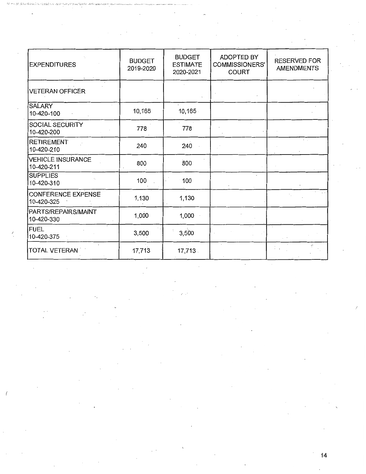| <b>EXPENDITURES</b>                    | <b>BUDGET</b><br>2019-2020 | <b>BUDGET</b><br><b>ESTIMATE</b><br>2020-2021 | <b>ADOPTED BY</b><br>COMMISSIONERS'<br><b>COURT</b> | <b>RESERVED FOR</b><br><b>AMENDMENTS</b> |
|----------------------------------------|----------------------------|-----------------------------------------------|-----------------------------------------------------|------------------------------------------|
| <b>VETERAN OFFICER</b>                 |                            |                                               |                                                     |                                          |
| <b>SALARY</b><br>10-420-100            | 10,165                     | 10,165                                        |                                                     |                                          |
| SOCIAL SECURITY<br>10-420-200          | 778                        | 778                                           |                                                     |                                          |
| <b>RETIREMENT</b><br>10-420-210        | 240                        | 240                                           |                                                     | $\sim$                                   |
| <b>VEHICLE INSURANCE</b><br>10-420-211 | 800                        | 800                                           |                                                     |                                          |
| <b>SUPPLIES</b><br>10-420-310          | 100                        | 100                                           |                                                     |                                          |
| CONFERENCE EXPENSE<br>10-420-325       | 1,130                      | 1,130                                         |                                                     |                                          |
| PARTS/REPAIRS/MAINT<br>10-420-330      | 1,000                      | 1,000                                         |                                                     |                                          |
| <b>FUEL</b><br>10-420-375              | 3,500                      | 3,500                                         |                                                     |                                          |
| <b>TOTAL VETERAN</b>                   | 17,713                     | $17,713$ .                                    |                                                     |                                          |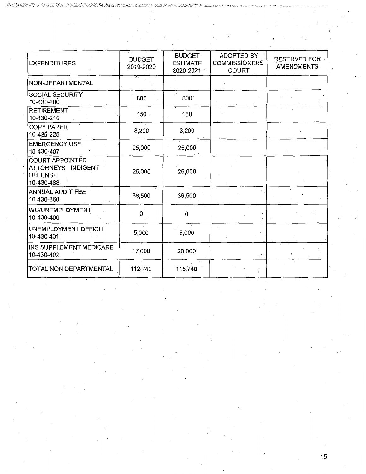| <b>EXPENDITURES</b>                                                          | <b>BUDGET</b><br>2019-2020 | <b>BUDGET</b><br><b>ESTIMATE</b><br>2020-2021 | <b>ADOPTED BY</b><br><b>COMMISSIONERS'</b><br><b>COURT</b> | <b>RESERVED FOR</b><br><b>AMENDMENTS</b> |
|------------------------------------------------------------------------------|----------------------------|-----------------------------------------------|------------------------------------------------------------|------------------------------------------|
| NON-DEPARTMENTAL                                                             |                            |                                               |                                                            |                                          |
| SOCIAL SECURITY<br>10-430-200                                                | 800                        | 800 <sub>1</sub>                              |                                                            |                                          |
| <b>RETIREMENT</b><br>10-430-210                                              | 150                        | 150                                           |                                                            |                                          |
| <b>COPY PAPER</b><br>10-430-225                                              | 3,290                      | 3,290                                         |                                                            |                                          |
| <b>EMERGENCY USE</b><br>10-430-407                                           | 25,000                     | 25,000                                        |                                                            |                                          |
| <b>COURT APPOINTED</b><br>ATTORNEYS INDIGENT<br><b>DEFENSE</b><br>10-430-488 | 25,000                     | 25,000                                        |                                                            |                                          |
| <b>ANNUAL AUDIT FEE</b><br>10-430-360                                        | 36,500                     | 36,500                                        |                                                            |                                          |
| WC/UNEMPLOYMENT<br>10-430-400                                                | 0                          | 0                                             |                                                            |                                          |
| UNEMPLOYMENT DEFICIT<br>10-430-401                                           | 5,000.                     | .5,000                                        |                                                            |                                          |
| INS SUPPLEMENT MEDICARE<br>10-430-402                                        | 17,000                     | 20,000                                        |                                                            |                                          |
| TOTAL NON DEPARTMENTAL                                                       | 112,740                    | 115,740                                       |                                                            |                                          |

 $\ddot{\phantom{a}}$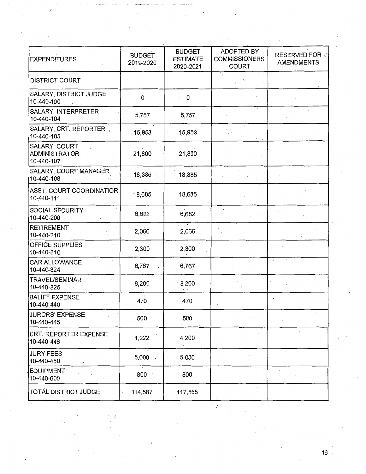| <b>EXPENDITURES</b>                                 | <b>BUDGET</b><br>2019-2020 | <b>BUDGET</b><br><b>ESTIMATE</b><br>2020-2021 | <b>ADOPTED BY</b><br><b>COMMISSIONERS'</b><br><b>COURT</b> | <b>RESERVED FOR V</b><br>AMENDMENTS |
|-----------------------------------------------------|----------------------------|-----------------------------------------------|------------------------------------------------------------|-------------------------------------|
| <b>DISTRICT COURT</b>                               |                            |                                               |                                                            |                                     |
| SALARY, DISTRICT JUDGE<br>10-440-100                | 0                          | $\cdot$ 0                                     |                                                            |                                     |
| SALARY, INTERPRETER<br>10-440-104                   | 5,757                      | 5,757                                         |                                                            |                                     |
| SALARY, CRT. REPORTER,<br>10-440-105                | 15,953                     | 15,953                                        |                                                            |                                     |
| SALARY, COURT<br><b>ADMINISTRATOR</b><br>10-440-107 | $\sqrt{2}$<br>21,800       | 21,800                                        |                                                            |                                     |
| SALARY, COURT MANAGER<br>10-440-108                 | 18,385                     | 18,385                                        |                                                            |                                     |
| ASST. COURT COORDINATIOR<br>10-440-111              | 18,685                     | 18,685                                        |                                                            |                                     |
| SOCIAL SECURITY<br>10-440-200                       | 6,682                      | 6,682                                         |                                                            |                                     |
| <b>RETIREMENT</b><br>10-440-210                     | 2,066                      | 2,066                                         |                                                            |                                     |
| OFFICE SUPPLIES<br>10-440-310                       | 2,300                      | 2,300                                         |                                                            |                                     |
| CAR ALLOWANCE<br>10-440-324                         | 6,767                      | 6,767                                         |                                                            |                                     |
| <b>TRAVEL/SEMINAR</b><br>10-440-325                 | 8,200                      | 8,200                                         |                                                            |                                     |
| <b>BALIFF EXPENSE</b><br>10-440-440                 | 470                        | 470                                           |                                                            |                                     |
| <b>JURORS' EXPENSE</b><br>10-440-445                | 500                        | 500                                           |                                                            |                                     |
| CRT. REPORTER EXPENSE<br>10-440-446                 | 1,222                      | 4,200                                         |                                                            |                                     |
| <b>JURY FEES</b><br>10-440-450                      | 5,000                      | 5,000                                         |                                                            |                                     |
| <b>EQUIPMENT</b><br>10-440-600                      | 800                        | 800                                           |                                                            |                                     |
| TOTAL DISTRICT JUDGE                                | 114,587                    | 117,565                                       |                                                            |                                     |

*/* 

*j'*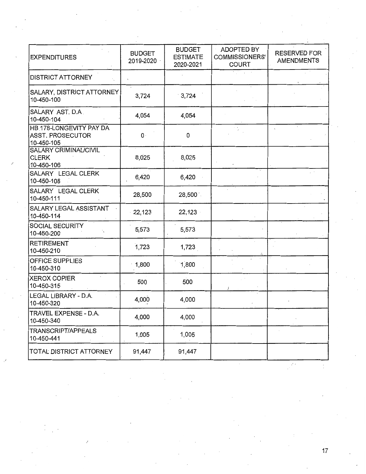| <b>EXPENDITURES</b>                                        | <b>BUDGET</b><br>2019-2020 | <b>BUDGET</b><br><b>ESTIMATE</b><br>2020-2021 | ADOPTED BY<br>COMMISSIONERS'<br><b>COURT</b> | <b>RESERVED FOR</b><br>AMENDMENTS |
|------------------------------------------------------------|----------------------------|-----------------------------------------------|----------------------------------------------|-----------------------------------|
| <b>DISTRICT ATTORNEY</b>                                   |                            |                                               |                                              |                                   |
| <b>SALARY, DISTRICT ATTORNEY</b><br>10-450-100             | 3,724                      | 3,724                                         |                                              |                                   |
| SALARY AST. D.A.<br>10-450-104                             | 4,054                      | 4,054                                         |                                              |                                   |
| HB 178-LONGEVITY PAY DA<br>ASST. PROSECUTOR<br>10-450-105  | $\mathbf{0}$ .             | 0                                             |                                              |                                   |
| <b>SALARY CRIMINALICIVIL</b><br><b>CLERK</b><br>10-450-106 | 8,025                      | 8,025                                         |                                              |                                   |
| SALARY LEGAL CLERK<br>10-450-108                           | 6,420                      | 6,420                                         |                                              |                                   |
| SALARY LEGAL CLERK<br>10-450-111                           | 28,500                     | 28,500                                        |                                              |                                   |
| <b>SALARY LEGAL ASSISTANT</b><br>10-450-114                | 22,123                     | 22,123                                        |                                              |                                   |
| SOCIAL SECURITY<br>10-450-200                              | 5,573                      | 5,573                                         |                                              |                                   |
| <b>RETIREMENT</b><br>10-450-210                            | 1,723                      | 1,723                                         |                                              |                                   |
| OFFICE SUPPLIES<br>10-450-310                              | 1,800                      | 1,800                                         |                                              |                                   |
| <b>XEROX COPIER</b><br>10-450-315                          | 500                        | 500                                           |                                              |                                   |
| LEGAL LIBRARY - D.A.<br>10-450-320                         | 4,000                      | 4,000                                         |                                              |                                   |
| TRAVEL EXPENSE - D.A.<br>10-450-340                        | 4,000                      | 4,000                                         |                                              |                                   |
| TRANSCRIPT/APPEALS<br>10-450-441                           | 1,005                      | 1,005                                         |                                              |                                   |
| TOTAL DISTRICT ATTORNEY                                    | 91,447                     | 91,447                                        |                                              |                                   |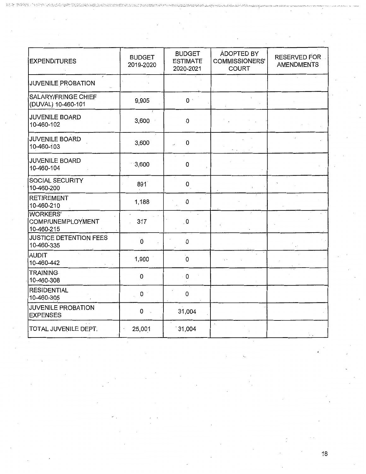| <b>EXPENDITURES</b>                                | <b>BUDGET</b><br>2019-2020 | <b>BUDGET</b><br><b>ESTIMATE</b><br>2020-2021 | <b>ADOPTED BY</b><br><b>COMMISSIONERS'</b><br><b>COURT</b> | <b>RESERVED FOR</b><br><b>AMENDMENTS</b> |
|----------------------------------------------------|----------------------------|-----------------------------------------------|------------------------------------------------------------|------------------------------------------|
| <b>JUVENILE PROBATION</b>                          |                            |                                               |                                                            |                                          |
| SALARY/FRINGE CHIEF<br>(DUVAL) 10-460-101          | 9,905                      | $0\,$ $^{\cdot}$                              |                                                            |                                          |
| JUVENILE BOARD<br>10-460-102                       | 3,600                      | 0                                             |                                                            |                                          |
| <b>JUVENILE BOARD</b><br>10-460-103                | 3,600                      | 0                                             |                                                            |                                          |
| <b>JUVENILE BOARD</b><br>10-460-104                | 3,600                      | 0                                             |                                                            |                                          |
| SOCIAL SECURITY<br>10-460-200                      | 891                        | 0                                             |                                                            |                                          |
| <b>RETIREMENT</b><br>10-460-210                    | 1,188                      | 0                                             |                                                            |                                          |
| <b>WORKERS'</b><br>COMP/UNEMPLOYMENT<br>10-460-215 | 317                        | . $\boldsymbol{0}$                            |                                                            |                                          |
| JUSTICE DETENTION FEES<br>10-460-335               | Ò                          | 0                                             |                                                            |                                          |
| <b>AUDIT</b><br>10-460-442                         | 1,900                      | $\alpha$                                      |                                                            |                                          |
| <b>TRAINING</b><br>10-460-308                      | 0                          | 0                                             |                                                            |                                          |
| <b>RESIDENTIAL</b><br>10-460-305                   | 0                          | 0                                             |                                                            |                                          |
| <b>JUVENILE PROBATION</b><br><b>EXPENSES</b>       | 0                          | 31,004                                        |                                                            |                                          |
| TOTAL JUVENILE DEPT.                               | 25,001                     | 31,004                                        |                                                            |                                          |

錝

 $\mathcal{A}$ 

 $\mathcal{L}_{\mathcal{A}}$ 

18

 $\overline{\phantom{a}}$ 

 $\cdot$  $\overline{\phantom{a}}$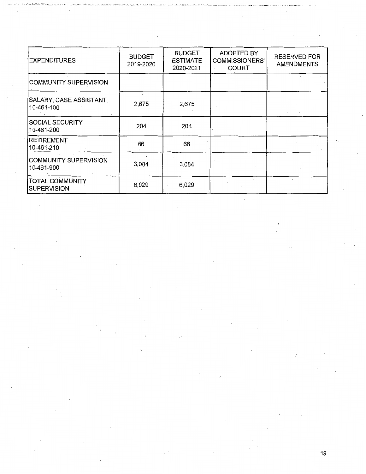| <b>EXPENDITURES</b>                          | <b>BUDGET</b><br>2019-2020 | <b>BUDGET</b><br><b>ESTIMATE</b><br>2020-2021 | <b>ADOPTED BY</b><br>COMMISSIONERS'<br><b>COURT</b> | <b>RESERVED FOR</b><br><b>AMENDMENTS</b> |
|----------------------------------------------|----------------------------|-----------------------------------------------|-----------------------------------------------------|------------------------------------------|
| COMMUNITY SUPERVISION                        |                            |                                               |                                                     |                                          |
| SALARY, CASE ASSISTANT.<br>10-461-100        | 2,675                      | 2,675                                         |                                                     |                                          |
| <b>SOCIAL SECURITY</b><br>10-461-200         | 204                        | 204                                           |                                                     |                                          |
| RETIREMENT<br>10-461-210                     | 66                         | 66                                            |                                                     |                                          |
| COMMUNITY SUPERVISION<br>10-461-900          | 3,084                      | 3,084                                         |                                                     |                                          |
| <b>TOTAL COMMUNITY</b><br><b>SUPERVISION</b> | 6,029                      | 6,029                                         |                                                     |                                          |

.. ,·;· •.•.• :,, .• \_::,.·";\_\_ . *·,·;:.-.. -:vi.-•... ,,-.;::•.,;,: \_\_ :.·.,,,;: ..* \_,., .... , . .,\_ *•• ......... · ..* :i • .\_\_,,,, •.• ~.;.-.,\_;,..;,.~, ·-··· ~-. ,.:.,. .,. .... ,·, .. ,,.,,., .. , .......... ··-- ..\_ •.•• , .• ••~ ""•'•••'« • "' '0 -•• '•• • ~-'"" "'-• • •o -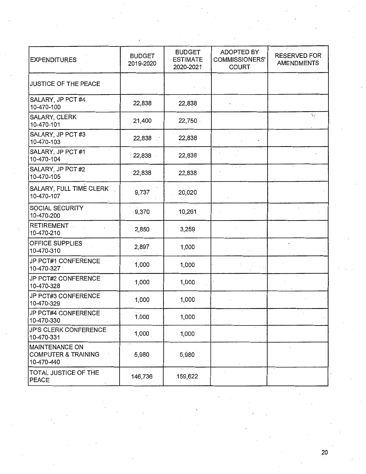| <b>EXPENDITURES</b>                                            | <b>BUDGET</b><br>2019-2020 | <b>BUDGET</b><br><b>ESTIMATE</b><br>2020-2021 | ADOPTED BY<br>COMMISSIONERS'<br><b>COURT</b> | <b>RESERVED FOR</b><br><b>AMENDMENTS</b> |
|----------------------------------------------------------------|----------------------------|-----------------------------------------------|----------------------------------------------|------------------------------------------|
| JUSTICE OF THE PEACE                                           |                            |                                               |                                              |                                          |
| SALARY, JP PCT #4<br>10-470-100                                | 22,838                     | 22,838                                        |                                              |                                          |
| SALARY, CLERK<br>10-470-101                                    | 21,400                     | 22,750                                        |                                              | ◡                                        |
| SALARY, JP PCT #3.<br>10-470-103                               | 22,838                     | 22,838                                        |                                              |                                          |
| SALARY, JP PCT #1<br>10-470-104                                | 22,838                     | 22,838                                        |                                              |                                          |
| SALARY, JP PCT #2<br>10-470-105                                | 22,838                     | 22,838                                        | $\sim$ 10 $^{-1}$ .                          |                                          |
| SALARY, FULL TIME CLERK<br>10-470-107                          | 9,737                      | 20,020                                        |                                              |                                          |
| SOCIAL SECURITY<br>10-470-200                                  | 9,370                      | 10,261                                        |                                              |                                          |
| RETIREMENT<br>10-470-210                                       | 2,850                      | 3,259                                         |                                              |                                          |
| OFFICE SUPPLIES<br>10-470-310                                  | 2,897                      | 1,000                                         |                                              |                                          |
| JP PCT#1 CONFERENCE<br>10-470-327                              | 1,000                      | 1,000                                         |                                              |                                          |
| JP PCT#2 CONFERENCE<br>10-470-328                              | 1,000                      | 1,000                                         |                                              |                                          |
| JP PCT#3 CONFERENCE<br>10-470-329                              | 1,000                      | 1,000                                         |                                              |                                          |
| JP PCT#4 CONFERENCE<br>10-470-330                              | 1,000                      | 1,000                                         |                                              |                                          |
| <b>JP'S CLERK CONFERENCE</b><br>10-470-331                     | 1,000                      | 1,000                                         |                                              |                                          |
| MAINTENANCE ON<br><b>COMPUTER &amp; TRAINING</b><br>10-470-440 | 5,980                      | 5,980                                         |                                              |                                          |
| TOTAL JUSTICE OF THE<br><b>PEACE</b>                           | 146,736                    | 159,622                                       |                                              |                                          |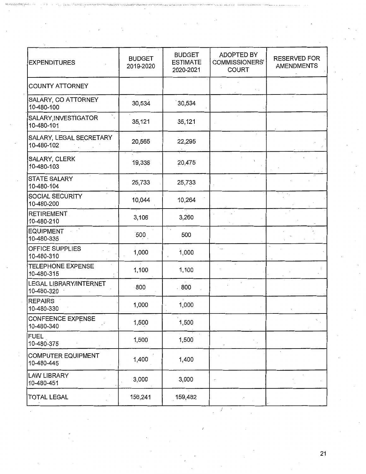| <b>EXPENDITURES</b>                     | <b>BUDGET</b><br>2019-2020 | <b>BUDGET</b><br><b>ESTIMATE</b><br>2020-2021 | <b>ADOPTED BY</b><br><b>COMMISSIONERS'</b><br><b>COURT</b> | RESERVED FOR<br><b>AMENDMENTS</b> |
|-----------------------------------------|----------------------------|-----------------------------------------------|------------------------------------------------------------|-----------------------------------|
| COUNTY ATTORNEY                         |                            |                                               |                                                            |                                   |
| SALARY, CO ATTORNEY<br>10-480-100       | 30,534                     | 30,534                                        |                                                            |                                   |
| SALARY, INVESTIGATOR<br>10-480-101      | 35,121                     | 35,121                                        |                                                            |                                   |
| SALARY, LEGAL SECRETARY<br>10-480-102   | 20,565                     | 22,295                                        |                                                            |                                   |
| SALARY, CLERK<br>10-480-103             | 19,338                     | 20,475                                        |                                                            |                                   |
| <b>STATE SALARY</b><br>10-480-104       | 25,733                     | 25,733                                        |                                                            |                                   |
| SOCIAL SECURITY<br>10-480-200           | 10,044                     | 10,264                                        |                                                            |                                   |
| <b>RETIREMENT</b><br>10-480-210         | 3,106                      | 3,260                                         |                                                            |                                   |
| <b>EQUIPMENT</b><br>10-480-335          | 500                        | 500                                           |                                                            |                                   |
| OFFICE SUPPLIES<br>10-480-310           | 1,000                      | 1,000                                         | $\ddot{\phantom{a}}$                                       |                                   |
| TELEPHONE EXPENSE<br>10-480-315         | 1,100                      | 1,100                                         |                                                            |                                   |
| LEGAL LIBRARY/INTERNET<br>10-480-320    | 800                        | .800                                          |                                                            |                                   |
| <b>REPAIRS</b><br>10-480-330            | 1,000                      | 1,000                                         |                                                            |                                   |
| <b>CONFEENCE EXPENSE</b><br>10-480-340  | 1,500                      | 1,500                                         |                                                            | $\mathcal{N}_{\rm{max}}$          |
| <b>FUEL</b><br>10-480-375               | 1,500                      | 1,500                                         |                                                            |                                   |
| <b>COMPUTER EQUIPMENT</b><br>10-480-445 | 1,400                      | 1,400                                         |                                                            |                                   |
| <b>LAW LIBRARY</b><br>10-480-451        | 3,000                      | 3,000                                         |                                                            |                                   |
| <b>TOTAL LEGAL</b>                      | 156,241                    | 159,482                                       |                                                            |                                   |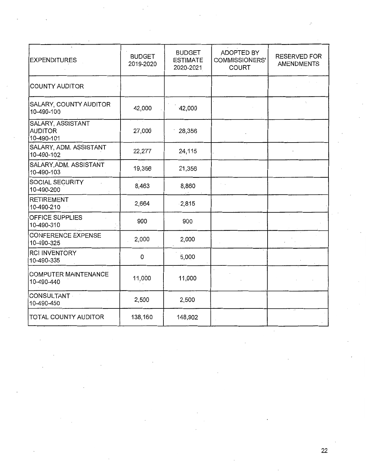| <b>EXPENDITURES</b>                               | <b>BUDGET</b><br>2019-2020 | <b>BUDGET</b><br><b>ESTIMATE</b><br>2020-2021 | ADOPTED BY<br><b>COMMISSIONERS'</b><br><b>COURT</b> | <b>RESERVED FOR</b><br><b>AMENDMENTS</b> |
|---------------------------------------------------|----------------------------|-----------------------------------------------|-----------------------------------------------------|------------------------------------------|
| <b>COUNTY AUDITOR</b>                             |                            |                                               |                                                     |                                          |
| SALARY, COUNTY AUDITOR<br>10-490-100              | 42,000                     | 42,000                                        |                                                     |                                          |
| SALARY, ASSISTANT<br><b>AUDITOR</b><br>10-490-101 | 27,000                     | 28,356                                        |                                                     |                                          |
| SALARY, ADM. ASSISTANT<br>10-490-102              | 22,277                     | 24,115                                        |                                                     |                                          |
| SALARY, ADM. ASSISTANT<br>10-490-103              | 19,356                     | 21,356                                        |                                                     |                                          |
| SOCIAL SECURITY<br>10-490-200                     | 8,463                      | 8,860                                         |                                                     |                                          |
| RETIREMENT<br>10-490-210                          | 2,664                      | $-2,815$                                      |                                                     |                                          |
| <b>OFFICE SUPPLIES</b><br>10-490-310              | 900                        | 900                                           |                                                     |                                          |
| <b>CONFERENCE EXPENSE</b><br>10-490-325           | 2,000                      | 2,000                                         |                                                     |                                          |
| <b>RCI INVENTORY</b><br>10-490-335                | $\mathsf 0$                | 5,000                                         |                                                     |                                          |
| <b>COMPUTER MAINTENANCE</b><br>10-490-440         | 11,000                     | 11,000                                        |                                                     |                                          |
| CONSULTANT<br>10-490-450                          | 2,500                      | 2,500                                         |                                                     |                                          |
| <b>TOTAL COUNTY AUDITOR</b>                       | 138,160                    | 148,902                                       |                                                     |                                          |

 $\bar{z}$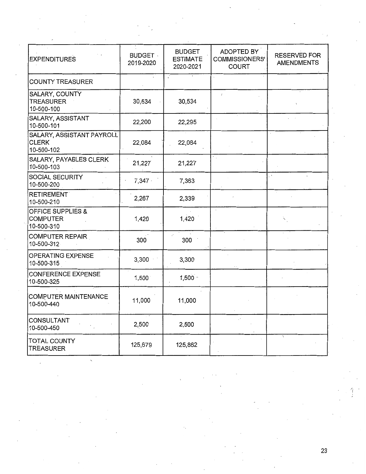| <b>EXPENDITURES</b>                                           | <b>BUDGET</b><br>2019-2020 | <b>BUDGET</b><br><b>ESTIMATE</b><br>2020-2021 | ADOPTED BY<br><b>COMMISSIONERS'</b><br><b>COURT</b> | <b>RESERVED FOR</b><br><b>AMENDMENTS</b> |
|---------------------------------------------------------------|----------------------------|-----------------------------------------------|-----------------------------------------------------|------------------------------------------|
| <b>COUNTY TREASURER</b>                                       |                            | $\cdot$                                       |                                                     |                                          |
| SALARY, COUNTY<br><b>TREASURER</b><br>10-500-100              | 30,534                     | 30,534                                        | $\prime$                                            |                                          |
| SALARY, ASSISTANT<br>10-500-101                               | 22,200                     | 22,295                                        |                                                     |                                          |
| SALARY, ASSISTANT PAYROLL<br><b>CLERK</b><br>10-500-102       | 22,084                     | 22,084                                        |                                                     |                                          |
| <b>SALARY, PAYABLES CLERK</b><br>10-500-103                   | 21,227                     | 21,227                                        | ×.,                                                 |                                          |
| SOCIAL SECURITY<br>10-500-200                                 | 7,347                      | 7,363                                         |                                                     | $\mathcal{L}$<br>$\mathbf{r}$            |
| <b>RETIREMENT</b><br>10-500-210                               | 2,267                      | 2,339                                         |                                                     |                                          |
| <b>OFFICE SUPPLIES &amp;</b><br><b>COMPUTER</b><br>10-500-310 | 1,420                      | 1,420                                         |                                                     |                                          |
| <b>COMPUTER REPAIR</b><br>10-500-312                          | 300                        | $\cdot$<br>300                                |                                                     |                                          |
| OPERATING EXPENSE<br>10-500-315                               | 3,300                      | 3,300                                         |                                                     |                                          |
| <b>CONFERENCE EXPENSE</b><br>10-500-325                       | 1,500                      | $1,500 -$                                     |                                                     |                                          |
| COMPUTER MAINTENANCE<br>10-500-440                            | 11,000                     | 11,000                                        |                                                     |                                          |
| <b>CONSULTANT</b><br>10-500-450                               | 2,500                      | 2,500                                         | $\ddot{\phantom{1}}$                                |                                          |
| TOTAL COUNTY<br><b>TREASURER</b>                              | 125,679                    | 125,862                                       |                                                     |                                          |

'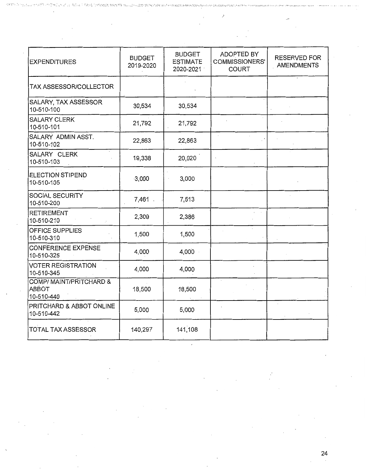| <b>EXPENDITURES</b>                            | <b>BUDGET</b><br>2019-2020 | <b>BUDGET</b><br><b>ESTIMATE</b><br>2020-2021 | ADOPTED BY<br>COMMISSIONERS'<br><b>COURT</b> | <b>RESERVED FOR</b><br><b>AMENDMENTS</b> |
|------------------------------------------------|----------------------------|-----------------------------------------------|----------------------------------------------|------------------------------------------|
| TAX ASSESSOR/COLLECTOR                         |                            |                                               |                                              |                                          |
| SALARY, TAX ASSESSOR<br>10-510-100             | 30,534                     | 30,534                                        |                                              |                                          |
| <b>SALARY CLERK</b><br>10-510-101              | 21,792                     | 21,792                                        |                                              |                                          |
| SALARY ADMIN ASST.<br>10-510-102               | 22,863                     | 22,863                                        | $\cdot$                                      |                                          |
| SALARY CLERK<br>10-510-103                     | 19,338                     | 20,020                                        |                                              |                                          |
| <b>ELECTION STIPEND</b><br>10-510-105          | $-3,000$                   | 3,000                                         |                                              |                                          |
| SOCIAL SECURITY<br>10-510-200                  | 7,461.                     | 7,513                                         |                                              |                                          |
| <b>RETIREMENT</b><br>10-510-210                | 2,309                      | 2,386                                         |                                              |                                          |
| <b>OFFICE SUPPLIES</b><br>10-510-310           | 1,500                      | 1,500                                         |                                              |                                          |
| <b>CONFERENCE EXPENSE</b><br>10-510-325        | 4,000                      | 4,000                                         |                                              |                                          |
| <b>VOTER REGISTRATION</b><br>10-510-345        | 4,000                      | 4,000                                         |                                              |                                          |
| COMP/ MAINT/PRITCHARD &<br>ABBOT<br>10-510-440 | 18,500                     | 18,500                                        |                                              |                                          |
| PRITCHARD & ABBOT ONLINE<br>10-510-442         | 5,000                      | 5,000                                         |                                              |                                          |
| <b>TOTAL TAX ASSESSOR</b>                      | 140,297                    | 141,108                                       |                                              |                                          |

- . ~ -· ' ~ ·=.:~·. ·.~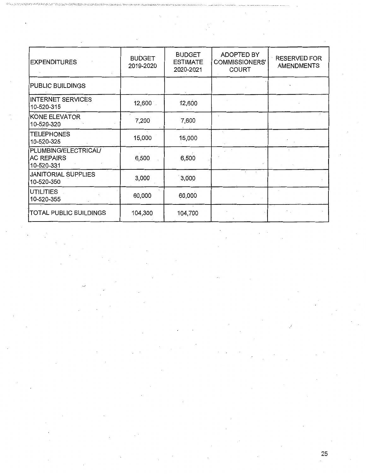| <b>EXPENDITURES</b>                                     | <b>BUDGET</b><br>2019-2020 | <b>BUDGET</b><br><b>ESTIMATE</b><br>2020-2021 | ADOPTED BY<br><b>COMMISSIONERS'</b><br><b>COURT</b> | <b>RESERVED FOR</b><br><b>AMENDMENTS</b> |
|---------------------------------------------------------|----------------------------|-----------------------------------------------|-----------------------------------------------------|------------------------------------------|
| <b>PUBLIC BUILDINGS</b>                                 |                            |                                               |                                                     |                                          |
| <b>INTERNET SERVICES</b><br>10-520-315                  | 12,600                     | 12,600                                        |                                                     |                                          |
| <b>KONE ELEVATOR</b><br>10-520-320                      | 7,200                      | 7,600                                         |                                                     |                                          |
| <b>TELEPHONES</b><br>10-520-325                         | 15,000                     | 15,000                                        |                                                     |                                          |
| PLUMBING/ELECTRICAL/<br><b>AC REPAIRS</b><br>10-520-331 | 6,500                      | 6,500                                         |                                                     |                                          |
| <b>JANITORIAL SUPPLIES</b><br>10-520-350                | 3,000                      | 3,000                                         |                                                     |                                          |
| UTILITIES<br>10-520-355                                 | 60,000                     | 60,000                                        |                                                     |                                          |
| TOTAL PUBLIC BUILDINGS                                  | 104,300                    | 104,700                                       |                                                     |                                          |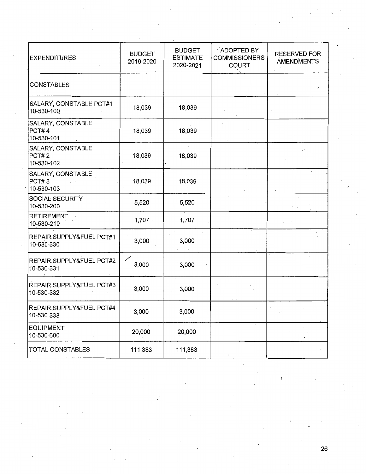| <b>EXPENDITURES</b>                      | <b>BUDGET</b><br>2019-2020 | <b>BUDGET</b><br><b>ESTIMATE</b><br>2020-2021 | ADOPTED BY<br>COMMISSIONERS'<br><b>COURT</b> | <b>RESERVED FOR</b><br><b>AMENDMENTS</b> |
|------------------------------------------|----------------------------|-----------------------------------------------|----------------------------------------------|------------------------------------------|
| <b>CONSTABLES</b>                        |                            |                                               |                                              |                                          |
| SALARY, CONSTABLE PCT#1<br>10-530-100    | 18,039                     | 18,039                                        |                                              |                                          |
| SALARY, CONSTABLE<br>PCT#4<br>10-530-101 | 18,039                     | 18,039                                        |                                              |                                          |
| SALARY, CONSTABLE<br>PCT#2<br>10-530-102 | 18,039                     | 18,039                                        |                                              |                                          |
| SALARY, CONSTABLE<br>PCT#3<br>10-530-103 | 18,039                     | 18,039                                        |                                              |                                          |
| SOCIAL SECURITY<br>10-530-200            | 5,520                      | 5,520                                         |                                              |                                          |
| <b>RETIREMENT</b><br>10-530-210          | 1,707                      | 1,707                                         |                                              |                                          |
| REPAIR, SUPPLY&FUEL PCT#1<br>10-530-330  | 3,000.                     | 3,000                                         |                                              |                                          |
| REPAIR, SUPPLY&FUEL PCT#2<br>10-530-331  | 3,000                      | 3,000                                         |                                              |                                          |
| REPAIR, SUPPLY&FUEL PCT#3<br>10-530-332  | 3,000                      | 3,000                                         |                                              |                                          |
| REPAIR, SUPPLY&FUEL PCT#4<br>10-530-333  | 3,000                      | 3,000                                         |                                              |                                          |
| <b>EQUIPMENT</b><br>10-530-600           | 20,000                     | 20,000                                        |                                              |                                          |
| TOTAL CONSTABLES                         | 111,383                    | 111,383                                       |                                              |                                          |

ţ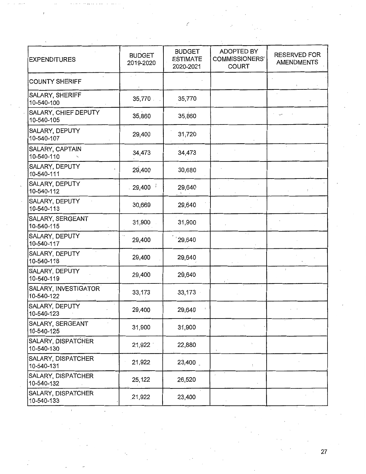| <b>EXPENDITURES</b>                     | <b>BUDGET</b><br>2019-2020 | <b>BUDGET</b><br><b>ESTIMATE</b><br>2020-2021 | ADOPTED BY<br><b>COMMISSIONERS'</b><br><b>COURT</b> | <b>RESERVED FOR</b><br><b>AMENDMENTS</b> |
|-----------------------------------------|----------------------------|-----------------------------------------------|-----------------------------------------------------|------------------------------------------|
| <b>COUNTY SHERIFF</b>                   |                            |                                               |                                                     |                                          |
| SALARY, SHERIFF<br>10-540-100           | 35,770                     | 35,770                                        |                                                     |                                          |
| SALARY, CHIEF DEPUTY<br>10-540-105      | 35,860                     | 35,860                                        |                                                     |                                          |
| SALARY, DEPUTY<br>10-540-107            | 29,400                     | 31,720                                        |                                                     |                                          |
| SALARY, CAPTAIN<br>10-540-110           | 34,473                     | 34,473                                        |                                                     |                                          |
| SALARY, DEPUTY<br>10-540-111            | 29,400                     | 30,680                                        |                                                     |                                          |
| SALARY, DEPUTY<br>10-540-112            | 29,400                     | 29,640                                        |                                                     |                                          |
| SALARY, DEPUTY<br>10-540-113            | 30,669                     | 29,640                                        |                                                     |                                          |
| SALARY, SERGEANT<br>10-540-115          | 31,900                     | 31,900                                        |                                                     |                                          |
| SALARY, DEPUTY<br>10-540-117            | 29,400                     | '29,640                                       | $\mathcal{L}_{\rm{max}}$                            |                                          |
| SALARY, DEPUTY<br>10-540-118            | 29,400                     | 29,640                                        |                                                     |                                          |
| SALARY, DEPUTY<br>10-540-119            | 29,400                     | 29,640                                        |                                                     |                                          |
| SALARY, INVESTIGATOR<br>10-540-122      | 33,173                     | 33,173                                        |                                                     |                                          |
| SALARY, DEPUTY<br>10-540-123            | 29,400                     | 29,640                                        |                                                     |                                          |
| SALARY, SERGEANT<br>10-540-125          | 31,900                     | 31,900                                        |                                                     |                                          |
| SALARY, DISPATCHER<br>10-540-130        | 21,922                     | 22,880                                        |                                                     |                                          |
| <b>SALARY, DISPATCHER</b><br>10-540-131 | 21,922                     | 23,400                                        | t.                                                  |                                          |
| SALARY, DISPATCHER<br>10-540-132        | 25,122                     | 26,520                                        |                                                     |                                          |
| SALARY, DISPATCHER<br>10-540-133        | 21,922                     | 23,400                                        |                                                     |                                          |

(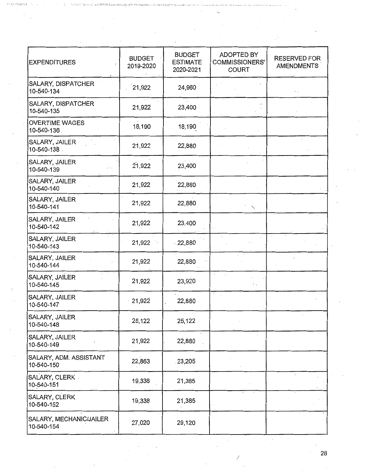| <b>EXPENDITURES</b>                   | <b>BUDGET</b><br>2019-2020 | <b>BUDGET</b><br><b>ESTIMATE</b><br>2020-2021 | ADOPTED BY<br>COMMISSIONERS'<br><b>COURT</b> | <b>RESERVED FOR</b><br>AMENDMENTS |
|---------------------------------------|----------------------------|-----------------------------------------------|----------------------------------------------|-----------------------------------|
| SALARY, DISPATCHER<br>10-540-134      | 21,922                     | 24,960                                        |                                              |                                   |
| SALARY, DISPATCHER<br>10-540-135      | 21,922                     | 23,400                                        |                                              |                                   |
| <b>OVERTIME WAGES</b><br>10-540-136.  | 18,190                     | 18,190                                        |                                              |                                   |
| SALARY, JAILER<br>10-540-138          | 21,922                     | 22,880                                        |                                              |                                   |
| SALARY, JAILER<br>10-540-139          | 21,922                     | 23,400                                        |                                              |                                   |
| SALARY, JAILER<br>10-540-140          | 21,922                     | 22,880                                        |                                              |                                   |
| SALARY, JAILER<br>10-540-141          | 21,922                     | 22,880                                        |                                              |                                   |
| SALARY, JAILER<br>10-540-142          | 21,922                     | 23,400                                        |                                              |                                   |
| SALARY, JAILER<br>10-540-143          | 21,922                     | $-22,880$                                     |                                              |                                   |
| SALARY, JAILER<br>10-540-144          | 21,922                     | 22,880                                        |                                              |                                   |
| SALARY, JAILER<br>10-540-145          | 21,922                     | 23,920                                        |                                              |                                   |
| SALARY, JAILER<br>10-540-147          | 21,922                     | 22,880                                        |                                              |                                   |
| SALARY, JAILER<br>10-540-148          | 25,122                     | 25,122                                        |                                              |                                   |
| SALARY, JAILER<br>10-540-149          | 21,922                     | 22,880                                        |                                              |                                   |
| SALARY, ADM. ASSISTANT<br>10-540-150  | 22,863                     | 23,205                                        |                                              |                                   |
| SALARY, CLERK<br>10-540-151           | 19,338                     | 21,385                                        |                                              | $\mathcal{L}$                     |
| SALARY, CLERK<br>10-540-152           | 19,338                     | 21,385                                        |                                              |                                   |
| SALARY, MECHANIC/JAILER<br>10-540-154 | 27,020                     | 29,120                                        |                                              |                                   |

/

 $\cdot$ 

 $\bar{z}$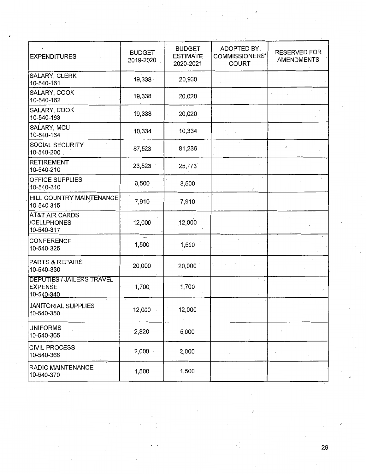| <b>EXPENDITURES</b>                                              | <b>BUDGET</b><br>2019-2020 | <b>BUDGET</b><br><b>ESTIMATE</b><br>2020-2021 | ADOPTED BY,<br><b>COMMISSIONERS'</b><br><b>COURT</b> | <b>RESERVED FOR</b><br><b>AMENDMENTS</b> |
|------------------------------------------------------------------|----------------------------|-----------------------------------------------|------------------------------------------------------|------------------------------------------|
| SALARY, CLERK<br>10-540-161                                      | 19,338                     | 20,930                                        |                                                      |                                          |
| SALARY, COOK<br>10-540-162                                       | 19,338                     | 20,020                                        |                                                      |                                          |
| SALARY, COOK<br>10-540-163                                       | 19,338                     | 20,020                                        |                                                      |                                          |
| SALARY, MCU<br>10-540-164                                        | 10,334                     | 10,334                                        |                                                      |                                          |
| SOCIAL SECURITY<br>10-540-200                                    | 87,523                     | 81,236                                        |                                                      |                                          |
| <b>RETIREMENT</b><br>10-540-210                                  | 23,523                     | 25,773                                        |                                                      |                                          |
| OFFICE SUPPLIES<br>10-540-310                                    | 3,500                      | 3,500                                         |                                                      |                                          |
| HILL COUNTRY MAINTENANCE<br>10-540-315                           | 7,910                      | 7,910                                         |                                                      |                                          |
| <b>AT&amp;T AIR CARDS</b><br>/CELLPHONES<br>10-540-317           | 12,000                     | 12,000                                        |                                                      |                                          |
| <b>CONFERENCE</b><br>10-540-325                                  | $-1,500$                   | 1,500                                         |                                                      |                                          |
| PARTS & REPAIRS<br>10-540-330                                    | 20,000                     | 20,000                                        |                                                      |                                          |
| <b>DEPUTIES / JAILERS TRAVEL</b><br><b>EXPENSE</b><br>10-540-340 | 1,700                      | 1,700                                         |                                                      |                                          |
| JANITORIAL SUPPLIES<br>10-540-350                                | 12,000                     | 12,000                                        |                                                      |                                          |
| <b>UNIFORMS</b><br>10-540-365                                    | 2,820                      | 5,000                                         |                                                      |                                          |
| <b>CIVIL PROCESS</b><br>10-540-366                               | 2,000                      | 2,000                                         |                                                      | $\sim$                                   |
| RADIO MAINTENANCE<br>10-540-370                                  | 1,500                      | 1,500                                         |                                                      |                                          |

I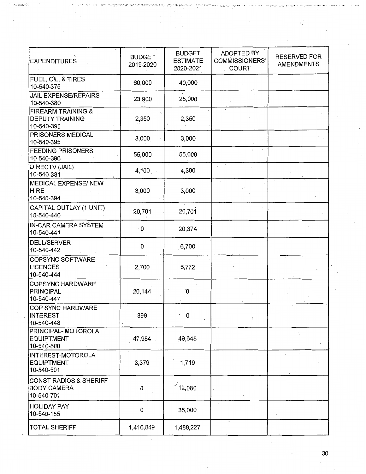| <b>EXPENDITURES</b>                                                   | <b>BUDGET</b><br>2019-2020 | <b>BUDGET</b><br><b>ESTIMATE</b><br>2020-2021 | ADOPTED BY<br><b>COMMISSIONERS'</b><br><b>COURT</b> | <b>RESERVED FOR</b><br><b>AMENDMENTS</b> |
|-----------------------------------------------------------------------|----------------------------|-----------------------------------------------|-----------------------------------------------------|------------------------------------------|
| FUEL, OIL, & TIRES<br>10-540-375                                      | 60,000                     | 40,000                                        |                                                     |                                          |
| <b>JAIL EXPENSE/REPAIRS</b><br>10-540-380                             | 23,900                     | 25,000                                        |                                                     |                                          |
| <b>FIREARM TRAINING &amp;</b><br><b>DEPUTY TRAINING</b><br>10-540-390 | 2,350                      | 2,350                                         |                                                     |                                          |
| PRISONERS MEDICAL<br>10-540-395                                       | 3,000                      | 3,000                                         |                                                     |                                          |
| <b>FEEDING PRISONERS</b><br>10-540-396                                | 55,000                     | 55,000                                        |                                                     |                                          |
| DIRECTV (JAIL)<br>10-540-381                                          | $4,100$ .                  | 4,300                                         |                                                     |                                          |
| <b>MEDICAL EXPENSE/ NEW</b><br><b>HIRE</b><br>10-540-394              | 3,000                      | 3,000                                         |                                                     |                                          |
| CAPITAL OUTLAY (1 UNIT)<br>10-540-440                                 | 20,701                     | 20,701                                        |                                                     |                                          |
| IN-CAR CAMERA SYSTEM<br>10-540-441                                    | $\cdot$ 0                  | 20,374                                        |                                                     |                                          |
| <b>DELL/SERVER</b><br>10-540-442                                      | 0                          | 6,700                                         |                                                     |                                          |
| COPSYNC SOFTWARE<br><b>LICENCES</b><br>10-540-444                     | 2,700                      | 6,772                                         | $\overline{\phantom{a}}$                            |                                          |
| COPSYNC HARDWARE<br><b>PRINCIPAL</b><br>10-540-447                    | 20,144                     | O.                                            |                                                     |                                          |
| COP SYNC HARDWARE<br><b>INTEREST</b><br>10-540-448                    | 899                        | $\cdot$ 0                                     | $\langle$                                           |                                          |
| PRINCIPAL-MOTOROLA<br><b>EQUIPTMENT</b><br>10-540-500                 | 47,984                     | 49,645                                        |                                                     |                                          |
| INTEREST-MOTOROLA<br><b>EQUIPTMENT</b><br>10-540-501                  | 3,379                      | 1,719                                         |                                                     |                                          |
| <b>CONST RADIOS &amp; SHERIFF</b><br><b>BODY CAMERA</b><br>10-540-701 | 0                          | 12,080                                        |                                                     |                                          |
| <b>HOLIDAY PAY</b><br>10-540-155                                      | $\pmb{0}$                  | 35,000                                        | $\cdot$                                             | ∕                                        |
| <b>TOTAL SHERIFF</b>                                                  | 1,416,849                  | 1,488,227                                     |                                                     |                                          |

 $\bar{z}$ 

 $\bar{z}$ 

 $\overline{\phantom{a}}$ l,

 $\epsilon$  $\bar{z}$ 

 $30<sub>1</sub>$ 

 $\chi$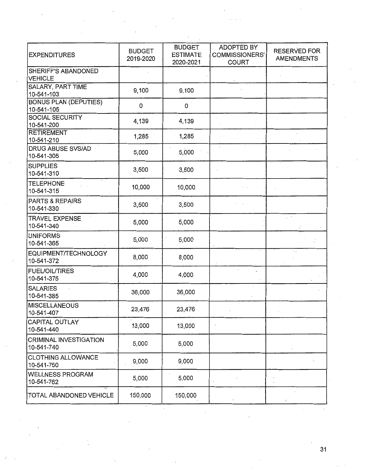| <b>EXPENDITURES</b>                         | <b>BUDGET</b><br>2019-2020 | <b>BUDGET</b><br><b>ESTIMATE</b><br>2020-2021 | ADOPTED BY<br><b>COMMISSIONERS'</b><br><b>COURT</b> | <b>RESERVED FOR</b><br><b>AMENDMENTS</b> |
|---------------------------------------------|----------------------------|-----------------------------------------------|-----------------------------------------------------|------------------------------------------|
| SHERIFF'S ABANDONED<br><b>VEHICLE</b>       |                            |                                               |                                                     |                                          |
| SALARY, PART TIME<br>10-541-103             | 9,100                      | 9,100                                         |                                                     |                                          |
| <b>BONUS PLAN (DEPUTIES)</b><br>10-541-105  | 0                          | 0                                             |                                                     |                                          |
| SOCIAL SECURITY<br>10-541-200               | 4,139                      | 4,139                                         |                                                     |                                          |
| <b>RETIREMENT</b><br>10-541-210             | 1,285                      | 1,285                                         |                                                     |                                          |
| DRUG ABUSE SVS/AD<br>10-541-305             | 5,000                      | 5,000                                         |                                                     |                                          |
| <b>SUPPLIES</b><br>10-541-310               | 3,500                      | 3,500                                         |                                                     |                                          |
| <b>TELEPHONE</b><br>10-541-315              | 10,000                     | 10,000                                        |                                                     |                                          |
| <b>PARTS &amp; REPAIRS</b><br>10-541-330    | 3,500                      | 3,500                                         |                                                     |                                          |
| <b>TRAVEL EXPENSE</b><br>10-541-340         | 5,000                      | 5,000                                         |                                                     |                                          |
| <b>UNIFORMS</b><br>10-541-365               | 5,000                      | 5,000                                         |                                                     |                                          |
| EQUIPMENT/TECHNOLOGY<br>10-541-372          | 8,000                      | 8,000                                         |                                                     | ٠.                                       |
| <b>FUEL/OIL/TIRES</b><br>10-541-375         | 4,000                      | 4,000                                         |                                                     |                                          |
| SALARIES<br>10-541-385                      | 36,000                     | 36,000                                        |                                                     |                                          |
| MISCELLANEOUS<br>10-541-407                 | 23,476                     | 23,476                                        |                                                     |                                          |
| <b>CAPITAL OUTLAY</b><br>10-541-440         | 13,000                     | 13,000                                        |                                                     |                                          |
| <b>CRIMINAL INVESTIGATION</b><br>10-541-740 | 5,000                      | 5,000                                         |                                                     |                                          |
| <b>CLOTHING ALLOWANCE</b><br>10-541-750     | 9,000                      | 9,000                                         |                                                     |                                          |
| <b>WELLNESS PROGRAM</b><br>10-541-762       | 5,000                      | 5,000                                         |                                                     |                                          |
| <b>TOTAL ABANDONED VEHICLE</b>              | 150,000                    | 150,000                                       |                                                     |                                          |

 $\overline{\phantom{a}}$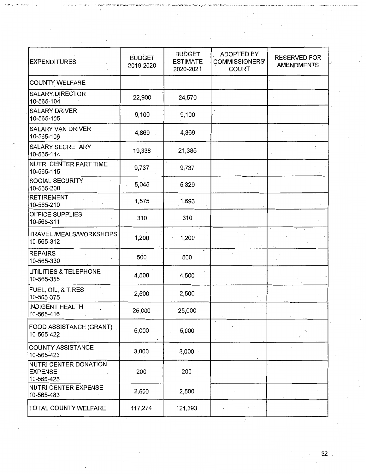| <b>EXPENDITURES</b>                                   | <b>BUDGET</b><br>2019-2020 | <b>BUDGET</b><br><b>ESTIMATE</b><br>2020-2021 | <b>ADOPTED BY</b><br>COMMISSIONERS'<br><b>COURT</b> | <b>RESERVED FOR</b><br><b>AMENDMENTS</b> |
|-------------------------------------------------------|----------------------------|-----------------------------------------------|-----------------------------------------------------|------------------------------------------|
| COUNTY WELFARE                                        |                            |                                               |                                                     |                                          |
| SALARY, DIRECTOR<br>10-565-104                        | 22,900                     | 24,570                                        |                                                     |                                          |
| <b>SALARY DRIVER</b><br>10-565-105                    | 9,100                      | 9,100                                         |                                                     |                                          |
| SALARY VAN DRIVER<br>10-565-106                       | 4,869                      | 4,869.                                        |                                                     |                                          |
| <b>SALARY SECRETARY</b><br>10-565-114                 | 19,338                     | 21,385                                        |                                                     |                                          |
| NUTRI CENTER PART TIME<br>10-565-115                  | 9,737                      | 9,737                                         |                                                     |                                          |
| SOCIAL SECURITY<br>10-565-200                         | 5,045                      | 5,329                                         |                                                     |                                          |
| <b>RETIREMENT</b><br>10-565-210                       | 1,575                      | 1,693                                         |                                                     |                                          |
| OFFICE SUPPLIES<br>10-565-311                         | 310                        | 310                                           |                                                     |                                          |
| TRAVEL /MEALS/WORKSHOPS<br>10-565-312                 | 1,200                      | 1,200                                         |                                                     |                                          |
| <b>REPAIRS</b><br>10-565-330                          | 500                        | 500                                           |                                                     |                                          |
| UTILITIES & TELEPHONE<br>10-565-355                   | 4,500                      | 4,500                                         |                                                     |                                          |
| FUEL, OIL, & TIRES<br>10-565-375                      | 2,500                      | 2,500                                         |                                                     |                                          |
| <b>INDIGENT HEALTH</b><br>10-565-416                  | 25,000                     | 25,000                                        |                                                     |                                          |
| FOOD ASSISTANCE (GRANT)<br>10-565-422                 | 5,000                      | 5,000                                         |                                                     |                                          |
| COUNTY ASSISTANCE<br>10-565-423                       | 3,000                      | $3,000 -$                                     |                                                     |                                          |
| NUTRI CENTER DONATION<br><b>EXPENSE</b><br>10-565-425 | 200                        | 200                                           |                                                     |                                          |
| NUTRI CENTER EXPENSE<br>10-565-483                    | 2,500                      | 2,500                                         |                                                     |                                          |
| TOTAL COUNTY WELFARE                                  | 117,274                    | 121,393                                       |                                                     |                                          |

 $\frac{1}{2}$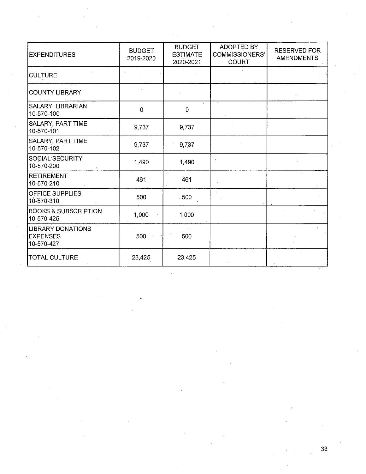| <b>EXPENDITURES</b>                                       | <b>BUDGET</b><br>2019-2020 | <b>BUDGET</b><br><b>ESTIMATE</b><br>2020-2021 | <b>ADOPTED BY</b><br><b>COMMISSIONERS'</b><br><b>COURT</b> | <b>RESERVED FOR</b><br><b>AMENDMENTS</b> |
|-----------------------------------------------------------|----------------------------|-----------------------------------------------|------------------------------------------------------------|------------------------------------------|
| <b>CULTURE</b>                                            |                            |                                               |                                                            |                                          |
| <b>COUNTY LIBRARY</b>                                     |                            |                                               |                                                            |                                          |
| SALARY, LIBRARIAN<br>10-570-100                           | 0                          | $\mathbf 0$                                   |                                                            |                                          |
| <b>SALARY, PART TIME</b><br>10-570-101                    | 9,737                      | 9,737                                         |                                                            |                                          |
| <b>SALARY, PART TIME</b><br>10-570-102                    | 9,737                      | 9,737                                         |                                                            |                                          |
| SOCIAL SECURITY<br>10-570-200                             | 1,490                      | 1,490                                         |                                                            |                                          |
| <b>RETIREMENT</b><br>10-570-210                           | 461                        | 461                                           |                                                            |                                          |
| <b>OFFICE SUPPLIES</b><br>10-570-310                      | 500                        | 500                                           |                                                            |                                          |
| <b>BOOKS &amp; SUBSCRIPTION</b><br>10-570-425             | 1,000                      | 1,000                                         |                                                            |                                          |
| <b>LIBRARY DONATIONS</b><br><b>EXPENSES</b><br>10-570-427 | 500                        | 500                                           |                                                            |                                          |
| TOTAL CULTURE                                             | 23,425                     | 23,425                                        |                                                            |                                          |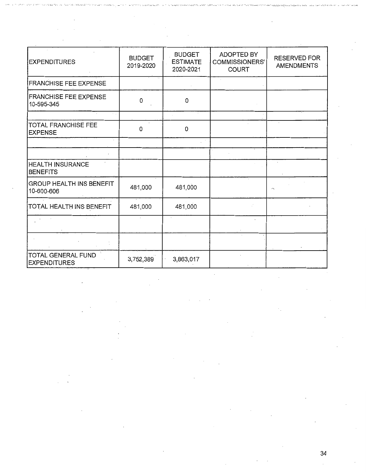| <b>EXPENDITURES</b>                           | <b>BUDGET</b><br>2019-2020 | <b>BUDGET</b><br><b>ESTIMATE</b><br>2020-2021 | ADOPTED BY<br>COMMISSIONERS'<br>COURT | <b>RESERVED FOR</b><br><b>AMENDMENTS</b> |
|-----------------------------------------------|----------------------------|-----------------------------------------------|---------------------------------------|------------------------------------------|
| <b>FRANCHISE FEE EXPENSE</b>                  |                            |                                               |                                       |                                          |
| <b>FRANCHISE FEE EXPENSE</b><br>10-595-345    | 0                          | 0                                             |                                       |                                          |
|                                               |                            |                                               |                                       |                                          |
| <b>TOTAL FRANCHISE FEE</b><br><b>EXPENSE</b>  | 0                          | 0                                             |                                       |                                          |
|                                               |                            |                                               |                                       |                                          |
|                                               |                            |                                               |                                       |                                          |
| HEALTH INSURANCE<br><b>BENEFITS</b>           |                            |                                               |                                       |                                          |
| <b>GROUP HEALTH INS BENEFIT</b><br>10-600-606 | 481,000                    | 481,000                                       |                                       |                                          |
| TOTAL HEALTH INS BENEFIT                      | 481,000                    | 481,000                                       |                                       |                                          |
|                                               |                            |                                               |                                       |                                          |
|                                               |                            |                                               |                                       |                                          |
| TOTAL GENERAL FUND<br><b>EXPENDITURES</b>     | 3,752,389                  | 3,863,017                                     |                                       |                                          |

 $\bar{z}$ 

÷,

 $\hat{\mathcal{E}}$ 

٠,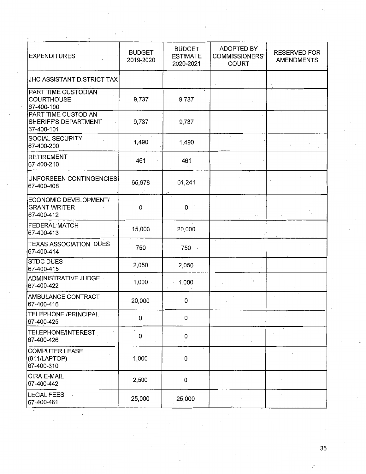| <b>EXPENDITURES</b>                                           | <b>BUDGET</b><br>2019-2020 | <b>BUDGET</b><br><b>ESTIMATE</b><br>2020-2021 | <b>ADOPTED BY</b><br>COMMISSIONERS'<br><b>COURT</b> | <b>RESERVED FOR</b><br><b>AMENDMENTS</b> |
|---------------------------------------------------------------|----------------------------|-----------------------------------------------|-----------------------------------------------------|------------------------------------------|
| <b>JHC ASSISTANT DISTRICT TAX</b>                             |                            |                                               |                                                     |                                          |
| <b>PART TIME CUSTODIAN</b><br><b>COURTHOUSE</b><br>67-400-100 | 9,737                      | 9,737                                         |                                                     |                                          |
| PART TIME CUSTODIAN<br>SHERIFF'S DEPARTMENT<br>67-400-101     | 9,737                      | 9,737                                         |                                                     |                                          |
| <b>SOCIAL SECURITY</b><br>67-400-200                          | 1,490                      | 1,490                                         |                                                     |                                          |
| <b>RETIREMENT</b><br>67-400-210                               | 461                        | 461                                           |                                                     |                                          |
| UNFORSEEN CONTINGENCIES<br>67-400-408                         | 65,978                     | 61,241                                        |                                                     |                                          |
| ECONOMIC DEVELOPMENT/<br><b>GRANT WRITER</b><br>67-400-412    | 0                          | 0                                             |                                                     |                                          |
| FEDERAL MATCH<br>67-400-413                                   | 15,000                     | 20,000                                        |                                                     |                                          |
| <b>TEXAS ASSOCIATION DUES</b><br>67-400-414                   | 750                        | 750                                           |                                                     |                                          |
| <b>STDC DUES</b><br>67-400-415                                | 2,050                      | 2,050                                         |                                                     |                                          |
| ADMINISTRATIVE JUDGE -<br>67-400-422                          | 1,000                      | 1,000                                         |                                                     |                                          |
| AMBULANCE CONTRACT<br>67-400-416                              | 20,000                     | 0                                             |                                                     |                                          |
| TELEPHONE /PRINCIPAL<br>67-400-425                            | 0                          | 0                                             |                                                     |                                          |
| TELEPHONE/INTEREST<br>67-400-426                              | 0                          | 0                                             |                                                     |                                          |
| <b>COMPUTER LEASE</b><br>(911/LAPTOP)<br>67-400-310           | 1,000                      | 0                                             |                                                     | $\mathcal{E}=\mathcal{E}$                |
| CIRA E-MAIL<br>67-400-442                                     | 2,500                      | 0                                             |                                                     |                                          |
| LEGAL FEES<br>67-400-481                                      | 25,000                     | 25,000                                        |                                                     |                                          |

,-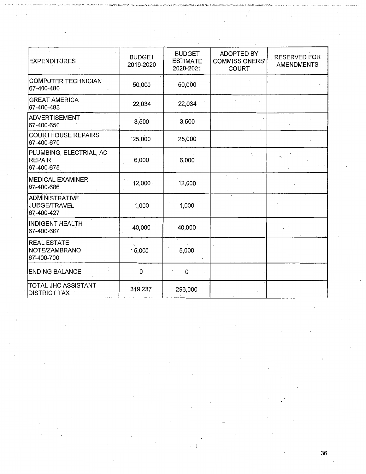| <b>EXPENDITURES</b>                                    | <b>BUDGET</b><br>2019-2020 | <b>BUDGET</b><br><b>ESTIMATE</b><br>2020-2021 | ADOPTED BY<br><b>COMMISSIONERS'</b><br><b>COURT</b> | <b>RESERVED FOR</b><br><b>AMENDMENTS</b> |
|--------------------------------------------------------|----------------------------|-----------------------------------------------|-----------------------------------------------------|------------------------------------------|
| COMPUTER TECHNICIAN<br>67-400-480                      | 50,000                     | 50,000                                        |                                                     |                                          |
| <b>GREAT AMERICA</b><br>67-400-483                     | 22,034                     | 22,034                                        |                                                     |                                          |
| <b>ADVERTISEMENT</b><br>67-400-650                     | 3,500                      | 3,500                                         |                                                     |                                          |
| <b>COURTHOUSE REPAIRS</b><br>67-400-670                | 25,000                     | 25,000                                        |                                                     |                                          |
| PLUMBING, ELECTRIAL, AC<br><b>REPAIR</b><br>67-400-675 | 6,000                      | 6,000                                         |                                                     |                                          |
| <b>MEDICAL EXAMINER</b><br>67-400-686                  | 12,000.                    | 12,000                                        |                                                     |                                          |
| ADMINISTRATIVE<br><b>JUDGE/TRAVEL</b><br>67-400-427    | 1,000                      | 1,000                                         |                                                     |                                          |
| <b>INDIGENT HEALTH</b><br>67-400-687                   | 40,000                     | 40,000                                        |                                                     |                                          |
| <b>REAL ESTATE</b><br>NOTE/ZAMBRANO<br>67-400-700      | .5,000                     | 5,000                                         |                                                     |                                          |
| <b>ENDING BALANCE</b>                                  | 0                          | $\mathbf 0$<br>$\mathbf{r}$                   |                                                     |                                          |
| TOTAL JHC ASSISTANT<br><b>DISTRICT TAX</b>             | 319,237                    | 296,000                                       |                                                     |                                          |

 $\epsilon$ 

l,

 $\mathbb{R}_{\geq 0}$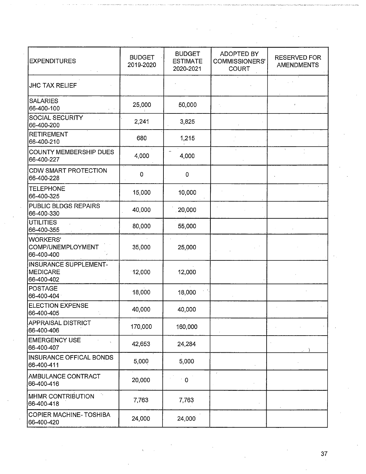| <b>EXPENDITURES</b>                                | <b>BUDGET</b><br>2019-2020 | <b>BUDGET</b><br><b>ESTIMATE</b><br>2020-2021 | ADOPTED BY<br><b>COMMISSIONERS'</b><br><b>COURT</b> | <b>RESERVED FOR</b><br><b>AMENDMENTS</b> |
|----------------------------------------------------|----------------------------|-----------------------------------------------|-----------------------------------------------------|------------------------------------------|
| <b>JHC TAX RELIEF</b>                              |                            |                                               |                                                     |                                          |
| <b>SALARIES</b><br>66-400-100                      | 25,000                     | 50,000                                        |                                                     |                                          |
| <b>SOCIAL SECURITY</b><br>66-400-200               | 2,241                      | 3,825                                         |                                                     |                                          |
| RETIREMENT<br>66-400-210                           | 680                        | 1,215                                         |                                                     |                                          |
| COUNTY MEMBERSHIP DUES<br>66-400-227               | 4,000                      | 4,000                                         |                                                     |                                          |
| <b>CDW SMART PROTECTION</b><br>66-400-228          | 0                          | 0                                             |                                                     |                                          |
| <b>TELEPHONE</b><br>66-400-325                     | 15,000                     | 10,000                                        |                                                     |                                          |
| <b>PUBLIC BLDGS REPAIRS</b><br>66-400-330          | 40,000                     | 20,000                                        |                                                     |                                          |
| UTILITIES<br>66-400-355                            | 80,000                     | 55,000                                        |                                                     |                                          |
| <b>WORKERS'</b><br>COMP/UNEMPLOYMENT<br>66-400-400 | 35,000                     | 25,000                                        |                                                     |                                          |
| INSURANCE SUPPLEMENT-<br>MEDICARE<br>66-400-402    | 12,000                     | 12,000                                        |                                                     |                                          |
| <b>POSTAGE</b><br>66-400-404                       | 18,000                     | 18,000                                        |                                                     |                                          |
| <b>ELECTION EXPENSE</b><br>66-400-405              | 40,000                     | 40,000                                        |                                                     |                                          |
| <b>APPRAISAL DISTRICT</b><br>66-400-406            | 170,000                    | 160,000                                       |                                                     |                                          |
| <b>EMERGENCY USE</b><br>66-400-407                 | 42,653                     | 24,284                                        |                                                     |                                          |
| INSURANCE OFFICAL BONDS<br>66-400-411              | 5,000                      | 5,000                                         |                                                     |                                          |
| AMBULANCE CONTRACT<br>66-400-416                   | 20,000                     | $\mathbf 0$                                   |                                                     |                                          |
| MHMR CONTRIBUTION<br>66-400-418                    | 7,763                      | 7,763                                         |                                                     |                                          |
| COPIER MACHINE-TOSHIBA<br>66-400-420               | 24,000                     | 24,000                                        |                                                     |                                          |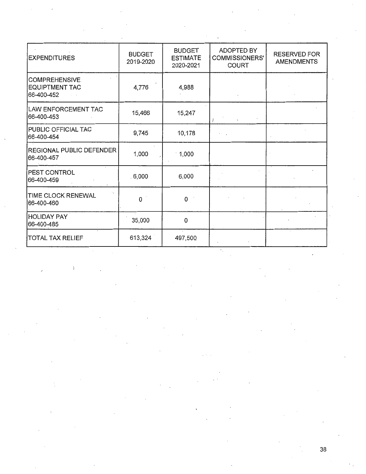| <b>EXPENDITURES</b>                                         | <b>BUDGET</b><br>2019-2020 | <b>BUDGET</b><br><b>ESTIMATE</b><br>2020-2021 | ADOPTED BY<br><b>COMMISSIONERS'</b><br><b>COURT</b> | <b>RESERVED FOR</b><br><b>AMENDMENTS</b> |
|-------------------------------------------------------------|----------------------------|-----------------------------------------------|-----------------------------------------------------|------------------------------------------|
| <b>COMPREHENSIVE</b><br><b>EQUIPTMENT TAC</b><br>66-400-452 | 4,776                      | 4,988                                         |                                                     |                                          |
| LAW ENFORCEMENT TAC<br>66-400-453                           | 15,466                     | 15,247                                        | $\mathbf{r}$                                        |                                          |
| PUBLIC OFFICIAL TAC<br>66-400-454                           | 9,745                      | 10,178                                        |                                                     |                                          |
| <b>REGIONAL PUBLIC DEFENDER</b><br>66-400-457               | 1,000                      | $-1,000$                                      |                                                     |                                          |
| PEST CONTROL<br>66-400-459                                  | .6,000                     | 6,000                                         |                                                     |                                          |
| TIME CLOCK RENEWAL<br>66-400-460                            | 0                          | $\overline{0}$                                |                                                     |                                          |
| <b>HOLIDAY PAY</b><br>66-400-485                            | 35,000                     | 0                                             |                                                     |                                          |
| TOTAL TAX RELIEF                                            | 613,324                    | 497,500                                       |                                                     |                                          |

 $\overline{)}$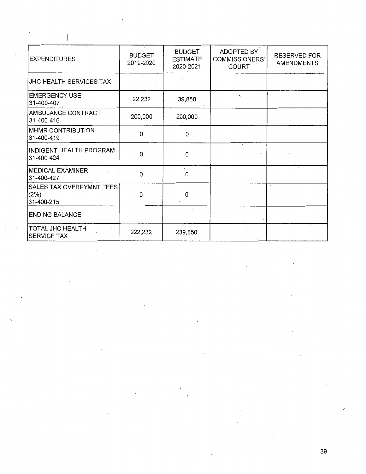| <b>EXPENDITURES</b>                            | <b>BUDGET</b><br>2019-2020 | <b>BUDGET</b><br><b>ESTIMATE</b><br>2020-2021 | ADOPTED BY<br>COMMISSIONERS'<br><b>COURT</b> | RESERVED FOR<br>AMENDMENTS |
|------------------------------------------------|----------------------------|-----------------------------------------------|----------------------------------------------|----------------------------|
| JHC HEALTH SERVICES TAX                        |                            |                                               |                                              |                            |
| <b>EMERGENCY USE</b><br>31-400-407             | 22,232                     | 39,850                                        | $\lambda$                                    |                            |
| AMBULANCE CONTRACT<br>31-400-416               | 200,000                    | 200,000                                       |                                              |                            |
| MHMR CONTRIBUTION<br>31-400-419                | 0                          | $\overline{0}$                                |                                              |                            |
| INDIGENT HEALTH PROGRAM<br>31-400-424          | 0                          | 0                                             |                                              |                            |
| <b>MEDICAL EXAMINER</b><br>31-400-427          | 0                          | 0                                             |                                              |                            |
| SALES TAX OVERPYMNT FEES<br>(2%)<br>31-400-215 | 0                          | 0                                             |                                              |                            |
| <b>ENDING BALANCE</b>                          |                            |                                               |                                              |                            |
| <b>TOTAL JHC HEALTH</b><br><b>SERVICE TAX</b>  | 222,232                    | 239,850                                       |                                              |                            |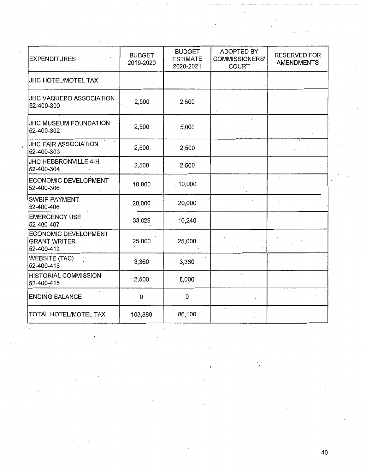| <b>EXPENDITURES</b>                                       | <b>BUDGET</b><br>2019-2020 | <b>BUDGET</b><br><b>ESTIMATE</b><br>2020-2021 | ADOPTED BY<br>COMMISSIONERS'<br><b>COURT</b> | <b>RESERVED FOR</b><br><b>AMENDMENTS</b> |
|-----------------------------------------------------------|----------------------------|-----------------------------------------------|----------------------------------------------|------------------------------------------|
| <b>JHC HOTEL/MOTEL TAX</b>                                |                            |                                               |                                              |                                          |
| <b>JHC VAQUERO ASSOCIATION</b><br>52-400-300              | 2,500                      | 2,500                                         |                                              |                                          |
| <b>JHC MUSEUM FOUNDATION</b><br>52-400-302                | 2,500                      | 5,000                                         |                                              |                                          |
| JHC FAIR ASSOCIATION<br>52-400-303                        | 2,500.                     | 2,500                                         |                                              |                                          |
| JHC HEBBRONVILLE 4-H<br>52-400-304                        | 2,500                      | 2,500                                         |                                              |                                          |
| ECONOMIC DEVELOPMENT<br>52-400-306                        | 10,000                     | $-10,000$                                     |                                              |                                          |
| <b>SWBIP PAYMENT</b><br>52-400-406                        | 20,000                     | 20,000                                        |                                              |                                          |
| <b>EMERGENCY USE</b><br>52-400-407                        | 33,029                     | 10,240                                        |                                              |                                          |
| ECONOMIC DEVELOPMENT<br><b>GRANT WRITER</b><br>52-400-412 | 25,000                     | 25,000                                        |                                              |                                          |
| <b>WEBSITE (TAC)</b><br>52-400-413                        | 3,360                      | 3,360                                         |                                              |                                          |
| <b>HISTORIAL COMMISSION</b><br>52-400-415                 | $\cdot$ 2,500              | 5,000                                         |                                              |                                          |
| <b>ENDING BALANCE</b>                                     | 0                          | 0                                             |                                              |                                          |
| <b>TOTAL HOTEL/MOTEL TAX</b>                              | 103,889                    | 86,100                                        |                                              |                                          |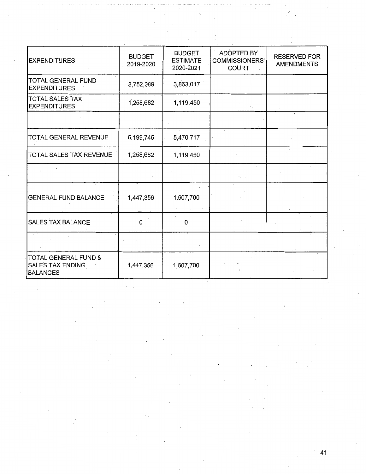| <b>EXPENDITURES</b>                                         | <b>BUDGET</b><br>2019-2020 | <b>BUDGET</b><br><b>ESTIMATE</b><br>2020-2021 | <b>ADOPTED BY</b><br><b>COMMISSIONERS'</b><br><b>COURT</b> | RESERVED FOR<br><b>AMENDMENTS</b> |
|-------------------------------------------------------------|----------------------------|-----------------------------------------------|------------------------------------------------------------|-----------------------------------|
| TOTAL GENERAL FUND<br><b>EXPENDITURES</b>                   | 3,752,389                  | 3,863,017                                     |                                                            |                                   |
| TOTAL SALES TAX<br><b>EXPENDITURES</b>                      | 1,258,682                  | 1,119,450                                     |                                                            |                                   |
|                                                             |                            |                                               |                                                            |                                   |
| TOTAL GENERAL REVENUE                                       | 5,199,745                  | 5,470,717                                     |                                                            |                                   |
| TOTAL SALES TAX REVENUE                                     | 1,258,682                  | 1,119,450                                     |                                                            |                                   |
|                                                             |                            |                                               |                                                            |                                   |
| <b>GENERAL FUND BALANCE</b>                                 | 1,447,356                  | 1,607,700                                     |                                                            |                                   |
| <b>SALES TAX BALANCE</b>                                    | 0                          | $\mathbf{0}$ .                                |                                                            |                                   |
|                                                             |                            |                                               |                                                            |                                   |
| TOTAL GENERAL FUND &<br>SALES TAX ENDING<br><b>BALANCES</b> | 1,447,356                  | 1,607,700                                     |                                                            |                                   |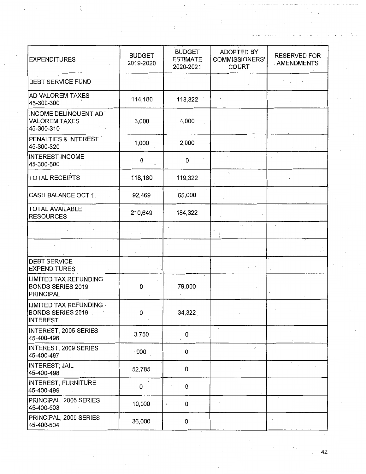| <b>EXPENDITURES</b>                                                   | <b>BUDGET</b><br>2019-2020 | <b>BUDGET</b><br><b>ESTIMATE</b><br>2020-2021 | ADOPTED BY<br><b>COMMISSIONERS'</b><br><b>COURT</b> | <b>RESERVED FOR</b><br>. AMENDMENTS |
|-----------------------------------------------------------------------|----------------------------|-----------------------------------------------|-----------------------------------------------------|-------------------------------------|
| <b>DEBT SERVICE FUND</b>                                              |                            |                                               |                                                     |                                     |
| <b>AD VALOREM TAXES</b><br>45-300-300                                 | 114,180                    | 113,322                                       |                                                     |                                     |
| INCOME DELINQUENT AD<br>VALOREM TAXES<br>45-300-310                   | 3,000                      | 4,000                                         |                                                     |                                     |
| PENALTIES & INTEREST<br>45-300-320                                    | 1,000                      | 2,000                                         |                                                     |                                     |
| <b>INTEREST INCOME</b><br>45-300-500                                  | 0                          | $\mathbf{O}^{\top}$                           |                                                     |                                     |
| <b>TOTAL RECEIPTS</b>                                                 | 118,180                    | 119,322                                       |                                                     |                                     |
| CASH BALANCE OCT 1,                                                   | 92,469                     | 65,000                                        |                                                     |                                     |
| <b>TOTAL AVAILABLE</b><br>RESOURCES                                   | 210,649                    | 184,322                                       |                                                     |                                     |
|                                                                       |                            |                                               |                                                     | $\overline{1}$                      |
|                                                                       |                            |                                               |                                                     |                                     |
| <b>DEBT SERVICE</b><br><b>EXPENDITURES</b>                            |                            |                                               |                                                     |                                     |
| LIMITED TAX REFUNDING<br><b>BONDS SERIES 2019</b><br><b>PRINCIPAL</b> | 0                          | 79,000                                        |                                                     |                                     |
| LIMITED TAX REFUNDING<br><b>BONDS SERIES 2019</b><br><b>INTEREST</b>  | 0                          | 34,322                                        |                                                     |                                     |
| INTEREST, 2005 SERIES<br>45-400-496                                   | 3,750                      | ۰0                                            |                                                     |                                     |
| INTEREST, 2009 SERIES<br>45-400-497                                   | $\cdot$ 900                | 0                                             | $\bar{I}$ .                                         |                                     |
| <b>INTEREST, JAIL</b><br>45-400-498                                   | 52,785                     | 0                                             |                                                     |                                     |
| INTEREST, FURNITURE<br>45-400-499                                     | 0                          | 0                                             |                                                     |                                     |
| PRINCIPAL, 2005 SERIES<br>45-400-503                                  | 10,000                     | 0                                             |                                                     |                                     |
| PRINCIPAL, 2009 SERIES<br>45-400-504                                  | 36,000                     | 0                                             |                                                     |                                     |

Ì,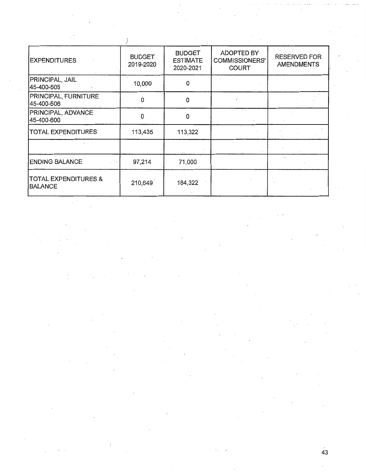| <b>EXPENDITURES</b>                        | <b>BUDGET</b><br>2019-2020 | <b>BUDGET</b><br><b>ESTIMATE</b><br>2020-2021 | <b>ADOPTED BY</b><br><b>COMMISSIONERS'</b><br><b>COURT</b> | <b>RESERVED FOR</b><br><b>AMENDMENTS</b> |
|--------------------------------------------|----------------------------|-----------------------------------------------|------------------------------------------------------------|------------------------------------------|
| PRINCIPAL, JAIL<br>45-400-505              | 10,000                     | 0                                             |                                                            |                                          |
| <b>PRINCIPAL, FURNITURE</b><br>45-400-506  | 0                          | 0                                             |                                                            |                                          |
| <b>PRINCIPAL, ADVANCE</b><br>45-400-600    | 0                          | 0                                             |                                                            |                                          |
| <b>TOTAL EXPENDITURES</b>                  | 113,435                    | 113,322                                       |                                                            |                                          |
|                                            |                            |                                               |                                                            |                                          |
| <b>ENDING BALANCE</b>                      | 97,214                     | 71,000                                        |                                                            |                                          |
| <b>TOTAL EXPENDITURES &amp;</b><br>BALANCE | 210,649                    | 184,322                                       |                                                            |                                          |

 $\mathcal{P}^{(k)}$  $\hat{\mathcal{L}}$ 

 $\frac{1}{\sqrt{2}}$ 

' 43

 $\hat{\mathcal{L}}$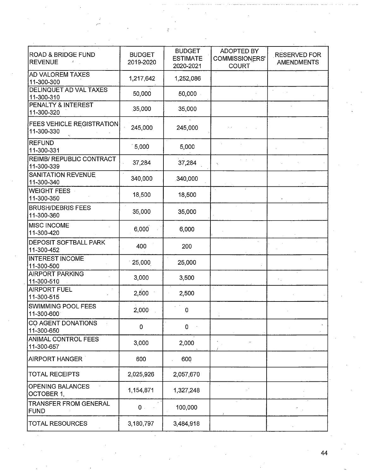| <b>ROAD &amp; BRIDGE FUND</b><br><b>REVENUE</b><br>÷. | <b>BUDGET</b><br>2019-2020 | <b>BUDGET</b><br><b>ESTIMATE</b><br>2020-2021 | <b>ADOPTED BY</b><br>COMMISSIONERS'<br><b>COURT</b> | <b>RESERVED FOR</b><br><b>AMENDMENTS</b> |
|-------------------------------------------------------|----------------------------|-----------------------------------------------|-----------------------------------------------------|------------------------------------------|
| <b>AD VALOREM TAXES</b><br>11-300-300                 | 1,217,642                  | 1,252,086                                     |                                                     |                                          |
| <b>DELINQUET AD VAL TAXES</b><br>11-300-310           | 50,000                     | 50,000                                        |                                                     |                                          |
| PENALTY & INTEREST<br>11-300-320                      | 35,000                     | 35,000                                        |                                                     |                                          |
| <b>FEES VEHICLE REGISTRATION</b><br>11-300-330        | 245,000                    | 245,000                                       |                                                     |                                          |
| <b>REFUND</b><br>11-300-331                           | 5,000                      | 5,000                                         |                                                     |                                          |
| <b>REIMB/ REPUBLIC CONTRACT</b><br>11-300-339         | 37,284                     | 37,284                                        |                                                     |                                          |
| <b>SANITATION REVENUE</b><br>11-300-340               | 340,000                    | 340,000                                       |                                                     |                                          |
| <b>WEIGHT FEES</b><br>11-300-350                      | 18,500                     | 18,500                                        |                                                     |                                          |
| <b>BRUSH/DEBRIS FEES</b><br>11-300-360                | 35,000                     | 35,000                                        |                                                     |                                          |
| <b>MISC INCOME</b><br>11-300-420                      | 6,000                      | 6,000                                         |                                                     |                                          |
| DEPOSIT SOFTBALL PARK<br>11-300-452                   | 400                        | 200                                           | $\overline{a}$                                      |                                          |
| <b>INTEREST INCOME</b><br>11-300-500                  | 25,000                     | 25,000                                        |                                                     |                                          |
| <b>AIRPORT PARKING</b><br>11-300-510                  | 3,000                      | 3,500                                         |                                                     |                                          |
| <b>AIRPORT FUEL</b><br>11-300-515                     | 2,500                      | 2,500                                         |                                                     |                                          |
| SWIMMING POOL FEES<br>11-300-600                      | 2,000                      | 0                                             |                                                     |                                          |
| CO AGENT DONATIONS<br>11-300-650                      | 0                          | 0                                             |                                                     |                                          |
| <b>ANIMAL CONTROL FEES</b><br>11-300-657              | 3,000                      | 2,000                                         |                                                     |                                          |
| AIRPORT HANGER                                        | 600                        | 600                                           |                                                     |                                          |
| <b>TOTAL RECEIPTS</b>                                 | 2,025,926                  | 2,057,670                                     |                                                     |                                          |
| <b>OPENING BALANCES</b><br>OCTOBER 1,                 | 1,154,871                  | 1,327,248                                     |                                                     |                                          |
| <b>TRANSFER FROM GENERAL</b><br>FUND                  | $0$ .                      | 100,000                                       |                                                     |                                          |
| <b>TOTAL RESOURCES</b>                                | 3,180,797                  | 3,484,918                                     |                                                     |                                          |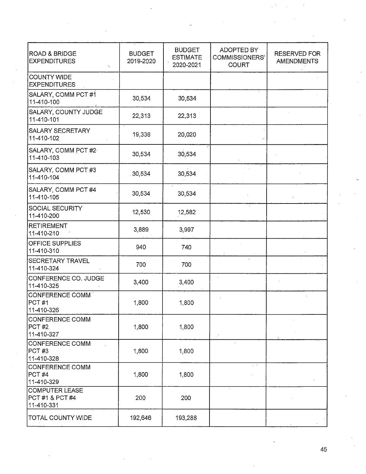| <b>ROAD &amp; BRIDGE</b><br><b>EXPENDITURES</b>        | <b>BUDGET</b><br>2019-2020 | <b>BUDGET</b><br><b>ESTIMATE</b><br>2020-2021 | <b>ADOPTED BY</b><br>COMMISSIONERS'<br><b>COURT</b> | <b>RESERVED FOR</b><br><b>AMENDMENTS</b> |
|--------------------------------------------------------|----------------------------|-----------------------------------------------|-----------------------------------------------------|------------------------------------------|
| <b>COUNTY WIDE</b><br><b>EXPENDITURES</b>              |                            |                                               |                                                     |                                          |
| SALARY, COMM PCT #1<br>11-410-100                      | 30,534                     | 30,534                                        |                                                     |                                          |
| SALARY, COUNTY JUDGE<br>11-410-101                     | 22,313                     | 22,313                                        |                                                     |                                          |
| <b>SALARY SECRETARY</b><br>11-410-102                  | 19,338                     | 20,020                                        |                                                     |                                          |
| SALARY, COMM PCT #2<br>11-410-103                      | 30,534                     | 30,534                                        |                                                     |                                          |
| SALARY, COMM PCT #3<br>11-410-104                      | 30,534                     | 30,534                                        |                                                     |                                          |
| SALARY, COMM PCT #4<br>11-410-105                      | 30,534                     | 30,534                                        |                                                     |                                          |
| SOCIAL SECURITY<br>11-410-200                          | 12,530                     | 12,582                                        |                                                     |                                          |
| RETIREMENT<br>11-410-210                               | 3,889                      | 3,997                                         |                                                     |                                          |
| <b>OFFICE SUPPLIES</b><br>11-410-310                   | 940                        | 740                                           |                                                     |                                          |
| SECRETARY TRAVEL<br>11-410-324                         | 700                        | 700                                           |                                                     |                                          |
| CONFERENCE CO. JUDGE<br>11-410-325                     | 3,400                      | 3,400                                         |                                                     |                                          |
| CONFERENCE COMM<br>PCT#1<br>11-410-326                 | 1,800                      | 1,800                                         |                                                     |                                          |
| CONFERENCE COMM<br>PCT #2<br>11-410-327                | 1,800                      | 1,800                                         |                                                     |                                          |
| CONFERENCE COMM<br>PCT #3<br>11-410-328                | 1,800                      | 1,800                                         |                                                     |                                          |
| CONFERENCE COMM<br>PCT#4<br>11-410-329                 | 1,800                      | 1,800                                         |                                                     |                                          |
| <b>COMPUTER LEASE</b><br>PCT #1 & PCT #4<br>11-410-331 | 200                        | 200                                           |                                                     |                                          |
| <b>TOTAL COUNTY WIDE</b>                               | 192,646                    | 193,288                                       |                                                     |                                          |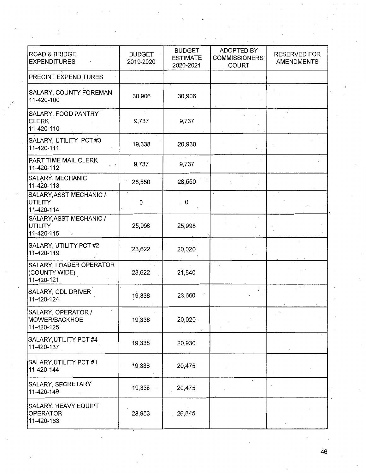| <b>ROAD &amp; BRIDGE</b><br><b>EXPENDITURES</b>          | <b>BUDGET</b><br>2019-2020 | <b>BUDGET</b><br><b>ESTIMATE</b><br>2020-2021 | ADOPTED BY<br><b>COMMISSIONERS'</b><br><b>COURT</b> | <b>RESERVED FOR</b><br><b>AMENDMENTS</b> |
|----------------------------------------------------------|----------------------------|-----------------------------------------------|-----------------------------------------------------|------------------------------------------|
| PRECINT EXPENDITURES                                     |                            |                                               |                                                     |                                          |
| SALARY, COUNTY FOREMAN<br>11-420-100                     | 30,906                     | 30,906                                        |                                                     |                                          |
| SALARY, FOOD PANTRY<br><b>CLERK</b><br>11-420-110        | 9,737                      | 9,737                                         |                                                     |                                          |
| SALARY, UTILITY PCT #3<br>11-420-111                     | 19,338                     | 20,930                                        |                                                     |                                          |
| PART TIME MAIL CLERK<br>11-420-112                       | 9,737                      | 9,737                                         |                                                     |                                          |
| SALARY, MECHANIC<br>11-420-113                           | 28,550                     | 28,550                                        |                                                     |                                          |
| SALARY, ASST MECHANIC /<br><b>UTILITY</b><br>11-420-114  | 0                          | 0                                             |                                                     |                                          |
| SALARY, ASST MECHANIC /<br><b>UTILITY</b><br>11-420-115  | 25,998                     | 25,998                                        |                                                     |                                          |
| SALARY, UTILITY PCT #2<br>11-420-119                     | 23,622                     | 20,020                                        |                                                     |                                          |
| SALARY, LOADER OPERATOR<br>(COUNTY WIDE)<br>11-420-121   | 23,622                     | 21,840                                        |                                                     |                                          |
| SALARY, CDL DRIVER<br>11-420-124                         | 19,338                     | 23,660                                        |                                                     |                                          |
| SALARY, OPERATOR /<br><b>MOWER/BACKHOE</b><br>11-420-125 | 19,338                     | 20,020.                                       |                                                     |                                          |
| SALARY, UTILITY PCT #4<br>11-420-137                     | 19,338                     | 20,930                                        |                                                     |                                          |
| SALARY, UTILITY PCT #1<br>11-420-144                     | 19,338                     | 20,475                                        |                                                     |                                          |
| SALARY, SECRETARY<br>11-420-149                          | 19,338                     | 20,475                                        |                                                     |                                          |
| SALARY, HEAVY EQUIPT<br><b>OPERATOR</b><br>11-420-163    | 23,953                     | 26,845                                        |                                                     |                                          |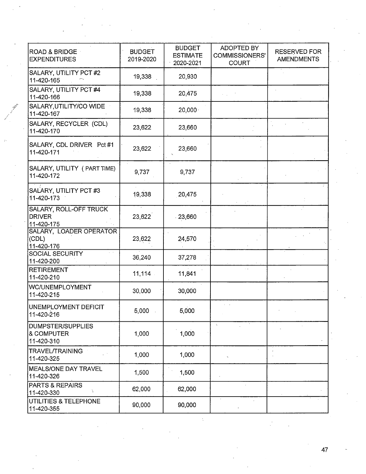| ROAD & BRIDGE<br><b>EXPENDITURES</b>                  | <b>BUDGET</b><br>2019-2020 | <b>BUDGET</b><br><b>ESTIMATE</b><br>2020-2021 | ADOPTED BY<br>COMMISSIONERS'<br><b>COURT</b> | <b>RESERVED FOR</b><br><b>AMENDMENTS</b> |
|-------------------------------------------------------|----------------------------|-----------------------------------------------|----------------------------------------------|------------------------------------------|
| SALARY, UTILITY PCT #2<br>11-420-165                  | 19,338                     | 20,930                                        |                                              |                                          |
| SALARY, UTILITY PCT #4<br>11-420-166                  | 19,338                     | 20,475                                        |                                              |                                          |
| SALARY, UTILITY/CO WIDE<br>11-420-167                 | 19,338                     | 20,000                                        |                                              |                                          |
| SALARY, RECYCLER (CDL)<br>11-420-170                  | 23,622                     | 23,660                                        |                                              |                                          |
| SALARY, CDL DRIVER Pct #1<br>11-420-171               | 23,622                     | 23,660                                        |                                              |                                          |
| SALARY, UTILITY ( PART TIME)<br>11-420-172            | 9,737                      | 9,737                                         |                                              |                                          |
| SALARY, UTILITY PCT #3<br>11-420-173                  | 19,338                     | 20,475                                        |                                              |                                          |
| SALARY, ROLL-OFF TRUCK<br><b>DRIVER</b><br>11-420-175 | 23,622                     | 23,660                                        |                                              |                                          |
| SALARY, LOADER OPERATOR<br>(CDL)<br>11-420-176        | 23,622                     | 24,570                                        |                                              |                                          |
| SOCIAL SECURITY<br>11-420-200                         | 36,240                     | 37,278                                        |                                              |                                          |
| <b>RETIREMENT</b><br>11-420-210                       | $11,114$ .                 | 11,841                                        |                                              |                                          |
| WC/UNEMPLOYMENT<br>11-420-215                         | 30,000                     | 30,000                                        |                                              |                                          |
| UNEMPLOYMENT DEFICIT<br>11-420-216                    | 5,000                      | 5,000                                         |                                              |                                          |
| <b>DUMPSTER/SUPPLIES</b><br>& COMPUTER<br>11-420-310  | 1,000                      | 1,000                                         |                                              |                                          |
| <b>TRAVEL/TRAINING</b><br>11-420-325                  | 1,000                      | 1,000                                         | $\gamma$                                     |                                          |
| <b>MEALS/ONE DAY TRAVEL</b><br>11-420-326             | 1,500                      | 1,500                                         |                                              |                                          |
| PARTS & REPAIRS<br>A.<br>11-420-330                   | 62,000                     | 62,000                                        |                                              |                                          |
| UTILITIES & TELEPHONE<br>11-420-355                   | 90,000                     | 90,000                                        | ×.                                           |                                          |

÷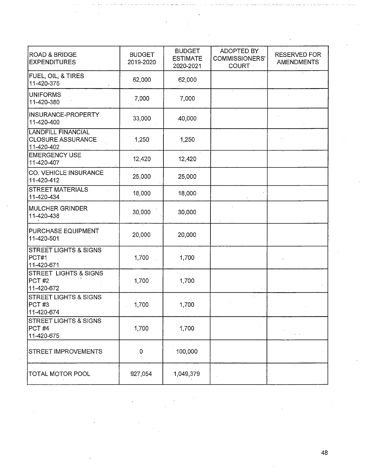| <b>ROAD &amp; BRIDGE</b><br><b>EXPENDITURES</b>                     | <b>BUDGET</b><br>2019-2020 | <b>BUDGET</b><br><b>ESTIMATE</b><br>2020-2021 | ADOPTED BY<br><b>COMMISSIONERS'</b><br><b>COURT</b> | <b>RESERVED FOR</b><br><b>AMENDMENTS</b> |
|---------------------------------------------------------------------|----------------------------|-----------------------------------------------|-----------------------------------------------------|------------------------------------------|
| FUEL, OIL, & TIRES<br>11-420-375                                    | 62,000                     | 62,000                                        |                                                     |                                          |
| <b>UNIFORMS</b><br>11-420-380                                       | 7,000                      | 7,000                                         |                                                     |                                          |
| <b>INSURANCE-PROPERTY</b><br>11-420-400                             | 33,000                     | 40,000                                        |                                                     |                                          |
| <b>LANDFILL FINANCIAL</b><br><b>CLOSURE ASSURANCE</b><br>11-420-402 | 1,250                      | 1,250                                         |                                                     |                                          |
| <b>EMERGENCY USE</b><br>11-420-407                                  | 12,420                     | 12,420                                        |                                                     |                                          |
| CO. VEHICLE INSURANCE<br>11-420-412                                 | 25,000                     | 25,000                                        |                                                     |                                          |
| <b>STREET MATERIALS</b><br>11-420-434                               | 18,000                     | 18,000                                        |                                                     |                                          |
| <b>MULCHER GRINDER</b><br>11-420-438                                | 30,000                     | 30,000                                        |                                                     |                                          |
| PURCHASE EQUIPMENT<br>11-420-501                                    | 20,000                     | 20,000                                        |                                                     |                                          |
| <b>STREET LIGHTS &amp; SIGNS</b><br>PCT#1<br>11-420-671             | 1,700                      | 1,700                                         |                                                     |                                          |
| <b>STREET LIGHTS &amp; SIGNS</b><br>PCT#2<br>11-420-672             | 1,700                      | 1,700                                         |                                                     |                                          |
| <b>STREET LIGHTS &amp; SIGNS</b><br>PCT#3<br>11-420-674             | 1,700                      | 1,700                                         |                                                     |                                          |
| STREET LIGHTS & SIGNS<br>PCT#4<br>11-420-675                        | 1,700                      | 1,700                                         |                                                     | $\epsilon \rightarrow \epsilon$          |
| <b>STREET IMPROVEMENTS</b>                                          | $\mathbf 0$                | 100,000                                       |                                                     |                                          |
| <b>TOTAL MOTOR POOL</b>                                             | 927,054                    | 1,049,379                                     |                                                     |                                          |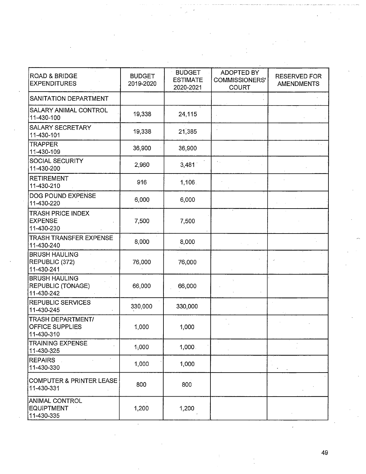| <b>ROAD &amp; BRIDGE</b><br><b>EXPENDITURES</b>                  | <b>BUDGET</b><br>2019-2020 | <b>BUDGET</b><br><b>ESTIMATE</b><br>2020-2021 | ADOPTED BY<br><b>COMMISSIONERS'</b><br><b>COURT</b> | <b>RESERVED FOR</b><br><b>AMENDMENTS</b> |
|------------------------------------------------------------------|----------------------------|-----------------------------------------------|-----------------------------------------------------|------------------------------------------|
| SANITATION DEPARTMENT                                            |                            |                                               |                                                     |                                          |
| <b>SALARY ANIMAL CONTROL</b><br>11-430-100                       | 19,338                     | 24,115                                        |                                                     |                                          |
| <b>SALARY SECRETARY</b><br>11-430-101                            | 19,338                     | 21,385                                        |                                                     |                                          |
| <b>TRAPPER</b><br>11-430-109                                     | 36,900                     | 36,900                                        |                                                     |                                          |
| SOCIAL SECURITY<br>11-430-200                                    | 2,960                      | 3,481                                         |                                                     |                                          |
| <b>RETIREMENT</b><br>11-430-210                                  | 916                        | 1,106                                         |                                                     |                                          |
| DOG POUND EXPENSE<br>11-430-220                                  | 6,000                      | 6,000                                         |                                                     |                                          |
| <b>TRASH PRICE INDEX</b><br><b>EXPENSE</b><br>11-430-230         | 7,500                      | 7,500                                         |                                                     |                                          |
| <b>TRASH TRANSFER EXPENSE</b><br>11-430-240                      | 8,000                      | 8,000                                         |                                                     |                                          |
| <b>BRUSH HAULING</b><br>REPUBLIC (372)<br>11-430-241             | 76,000                     | 76,000                                        |                                                     |                                          |
| <b>BRUSH HAULING</b><br>REPUBLIC (TONAGE)<br>11-430-242          | 66,000                     | 66,000                                        |                                                     |                                          |
| <b>REPUBLIC SERVICES</b><br>11-430-245                           | 330,000                    | 330,000                                       |                                                     |                                          |
| <b>TRASH DEPARTMENT/</b><br><b>OFFICE SUPPLIES</b><br>11-430-310 | 1,000                      | 1,000                                         |                                                     |                                          |
| <b>TRAINING EXPENSE</b><br>11-430-325                            | 1,000                      | 1,000.                                        |                                                     |                                          |
| <b>REPAIRS</b><br>11-430-330                                     | 1,000                      | 1,000                                         |                                                     |                                          |
| COMPUTER & PRINTER LEASE<br>11-430-331                           | 800                        | 800                                           |                                                     |                                          |
| <b>ANIMAL CONTROL</b><br><b>EQUIPTMENT</b><br>11-430-335         | 1,200                      | 1,200                                         |                                                     |                                          |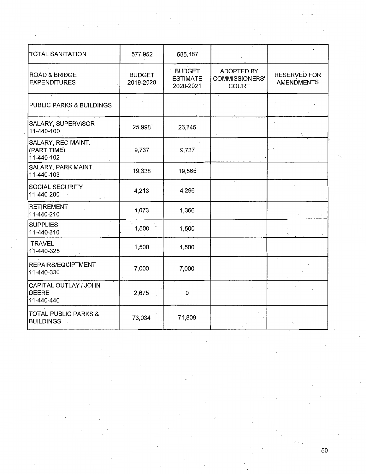| <b>TOTAL SANITATION</b>                                                  | 577,952                    | 585,487                                       |                                              |                                          |
|--------------------------------------------------------------------------|----------------------------|-----------------------------------------------|----------------------------------------------|------------------------------------------|
| <b>ROAD &amp; BRIDGE</b><br><b>EXPENDITURES</b>                          | <b>BUDGET</b><br>2019-2020 | <b>BUDGET</b><br><b>ESTIMATE</b><br>2020-2021 | ADOPTED BY<br>COMMISSIONERS'<br><b>COURT</b> | <b>RESERVED FOR</b><br><b>AMENDMENTS</b> |
| PUBLIC PARKS & BUILDINGS                                                 |                            |                                               |                                              |                                          |
| SALARY, SUPERVISOR<br>11-440-100                                         | 25,998                     | 26,845                                        |                                              |                                          |
| SALARY, REC MAINT.<br>(PART TIME)<br>11-440-102                          | 9,737                      | 9,737                                         |                                              |                                          |
| SALARY, PARK MAINT.<br>11-440-103                                        | 19,338                     | 19,565                                        |                                              |                                          |
| SOCIAL SECURITY<br>11-440-200                                            | 4,213                      | 4,296                                         |                                              |                                          |
| <b>RETIREMENT</b><br>11-440-210                                          | 1,073                      | 1,366                                         |                                              |                                          |
| <b>SUPPLIES</b><br>11-440-310                                            | 1,500.                     | 1,500                                         |                                              |                                          |
| <b>TRAVEL</b><br>11-440-325                                              | 1,500                      | 1,500                                         |                                              |                                          |
| REPAIRS/EQUIPTMENT<br>11-440-330                                         | 7,000                      | 7,000                                         |                                              |                                          |
| CAPITAL OUTLAY / JOHN<br><b>DEERE</b><br>11-440-440                      | 2,675                      | 0                                             |                                              |                                          |
| <b>TOTAL PUBLIC PARKS &amp;</b><br><b>BUILDINGS</b><br>$\sim$ $\epsilon$ | 73,034                     | 71,809                                        |                                              |                                          |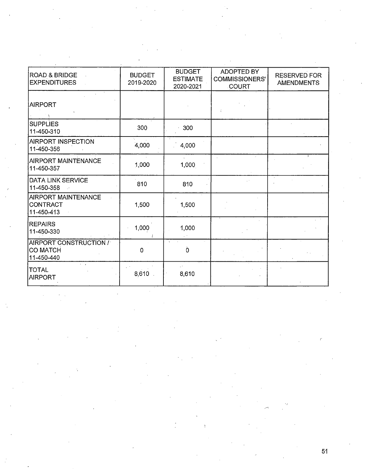| <b>ROAD &amp; BRIDGE</b><br><b>EXPENDITURES</b>         | <b>BUDGET</b><br>2019-2020 | <b>BUDGET</b><br><b>ESTIMATE</b><br>2020-2021 | ADOPTED BY<br><b>COMMISSIONERS'</b><br>COURT | <b>RESERVED FOR</b><br><b>AMENDMENTS</b> |
|---------------------------------------------------------|----------------------------|-----------------------------------------------|----------------------------------------------|------------------------------------------|
| <b>AIRPORT</b>                                          |                            |                                               |                                              |                                          |
| <b>SUPPLIES</b><br>11-450-310                           | 300                        | 300                                           |                                              |                                          |
| <b>AIRPORT INSPECTION</b><br>11-450-356                 | 4,000                      | 4,000                                         |                                              |                                          |
| <b>AIRPORT MAINTENANCE</b><br>11-450-357                | 1,000                      | 1,000                                         |                                              |                                          |
| DATA LINK SERVICE<br>11-450-358                         | 810                        | 810                                           |                                              |                                          |
| <b>AIRPORT MAINTENANCE</b><br>CONTRACT<br>11-450-413    | 1,500                      | 1,500                                         |                                              |                                          |
| <b>REPAIRS</b><br>11-450-330                            | 1,000                      | 1,000                                         |                                              |                                          |
| AIRPORT CONSTRUCTION /<br><b>CO MATCH</b><br>11-450-440 | $\mathbf 0$                | Ò                                             |                                              |                                          |
| TOTAL<br>AIRPORT                                        | 8,610                      | 8,610                                         |                                              |                                          |

 $\ddot{\phantom{a}}$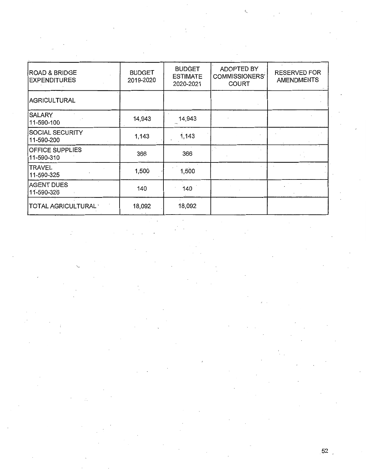| <b>ROAD &amp; BRIDGE</b><br><b>EXPENDITURES</b> | <b>BUDGET</b><br>2019-2020 | <b>BUDGET</b><br><b>ESTIMATE</b><br>2020-2021 | <b>ADOPTED BY</b><br>COMMISSIONERS'<br><b>COURT</b> | <b>RESERVED FOR</b><br><b>AMENDMENTS</b> |
|-------------------------------------------------|----------------------------|-----------------------------------------------|-----------------------------------------------------|------------------------------------------|
| AGRICULTURAL                                    |                            |                                               |                                                     |                                          |
| <b>SALARY</b><br>11-590-100                     | 14,943                     | 14,943                                        |                                                     |                                          |
| <b>SOCIAL SECURITY</b><br>11-590-200            | 1,143                      | 1,143                                         |                                                     |                                          |
| <b>OFFICE SUPPLIES</b><br>11-590-310            | 366                        | 366                                           |                                                     |                                          |
| <b>TRAVEL</b><br>11-590-325                     | 1,500                      | 1,500                                         |                                                     |                                          |
| AGENT DUES<br>11-590-326                        | 140                        | 140                                           |                                                     |                                          |
| TOTAL AGRICULTURAL <sup>®</sup>                 | 18,092                     | 18,092                                        |                                                     |                                          |